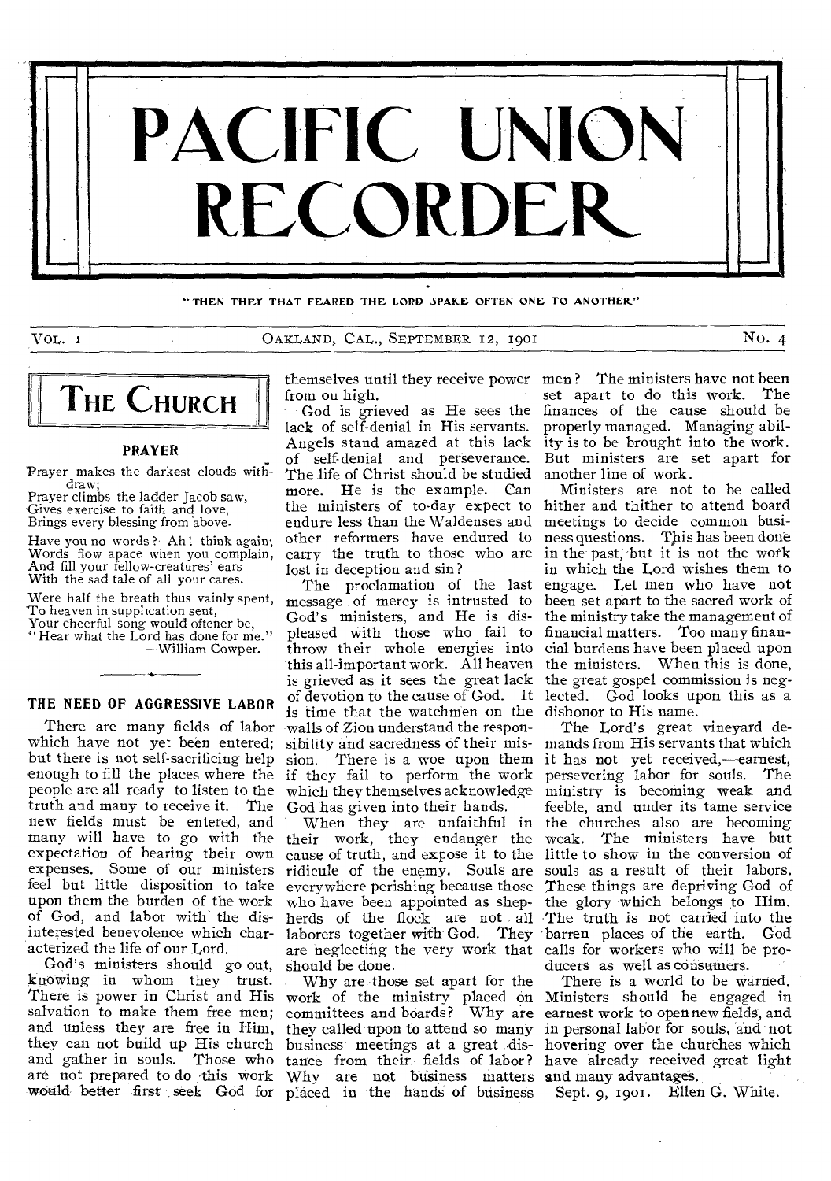

"THEN THEY THAT FEARED THE LORD SPARE OFTEN ONE TO ANOTHER"

VOL. 1 OAKLAND, CAL., SEPTEMBER 12, 1901 *No.* 4



# **PRAYER**.

Prayer makes the darkest clouds withdraw;

Prayer climbs the ladder Jacob saw, Gives exercise to faith and love, Brings every blessing from above.

Have you no words ? Ah! think again: Words flow apace when you complain, And fill your fellow-creatures' ears With the sad tale of all your cares.

Were half the breath thus vainly spent, To heaven in supplication sent,

Your cheerful song would oftener be, Hear what the Lord has done for me." —William Cowper.

**THE NEED OF AGGRESSIVE LABOR** 

which have not yet been entered; but there is not self-sacrificing help enough to fill the places where the people are all ready to listen to the truth and many to receive it. The new fields must be entered, and many will have to go with the expectation of bearing their own expenses. Some of our ministers feel but little disposition to take upon them the burden of the work of God, and labor with the disinterested benevolence which characterized the life of our Lord.

God's ministers should go out, knowing in whom they trust. There is power in Christ and His salvation to make them free men; and unless they are free in Him, they can not build up His church and gather in souls. Those who are not prepared to do this work

from on high.

God is grieved as He sees the lack of self-denial in His servants. Angels stand amazed at this lack of self-denial and perseverance. The life of Christ should be studied more. He is the example. Can the ministers of to-day expect to endure less than the Waldenses and other reformers have endured to carry the truth to those who are lost in deception and sin ?

There are many fields of labor walls of Zion understand the respon-The proclamation of the last message of mercy is intrusted to God's ministers, and He is displeased with those who fail to throw their whole energies into this all-important work. All heaven the ministers. When this is done, is grieved as it sees the great lack the great gospel commission is negof devotion to the cause of God. It lected. God looks upon this as a is time that the watchmen on the sibility and sacredness of their mission. There is a woe upon them if they fail to perform the work which they themselves acknowledge God has given into their hands.

> When they are unfaithful in their work, they endanger the cause of truth, and expose it to the ridicule of the enemy. Souls are everywhere perishing because those who have been appointed as shepherds of the flock are not all The truth is not carried into the laborers together with God. They are neglecting the very work that should be done.

would better first seek God for placed in the hands of business Why are those set apart for the work of the ministry placed on committees and boards? Why are they called upon to attend so many business meetings at a great distance from their: fields of labor? Why are not business matters and many advantages.

themselves until they receive power men ? The ministers have not been set apart to do this work. The finances of the cause should be properly managed. Managing ability is to be brought into the work. But ministers are set apart for another line of work.

> Ministers are not to be called hither and thither to attend board meetings to decide common business questions. This has been done in the past, but it is not the work in which the Lord wishes them to engage. Let men who have not been set apart to the sacred work of the ministry take the management of financial matters. Too many financial burdens have been placed upon dishonor to His name.

> The Lord's great vineyard demands from His servants that which it has not yet received,—earnest, persevering labor for souls. The ministry is becoming weak and feeble, and under its tame service the churches also are becoming weak. The ministers have but little to show in the conversion of souls as a result of their labors. These things are depriving God of the glory which belongs to Him. barren places of the earth. God calls for workers who will be producers as well as consumers.

There is a world to be warned. Ministers should be engaged in earnest work to open new fields, and in personal labor for souls, and not hovering over the churches which have already received great light

Sept. 9, 1901. Ellen G. White.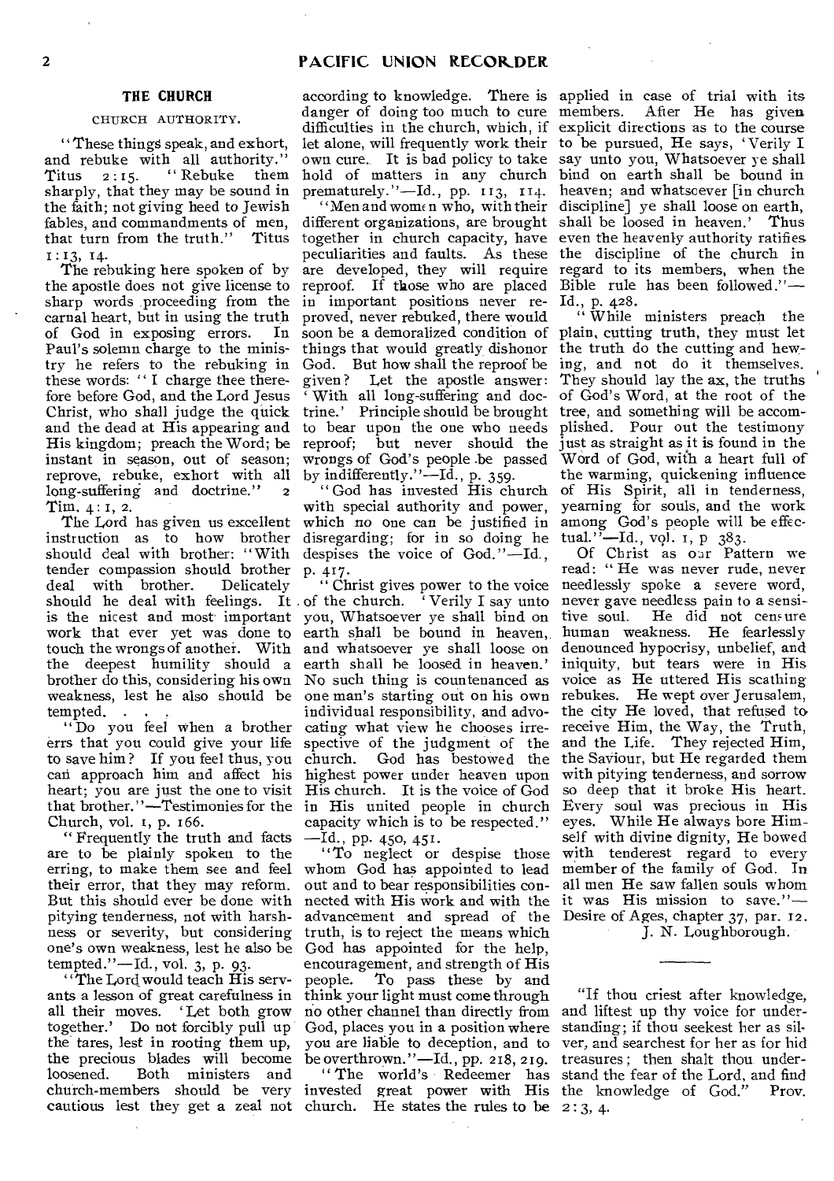# THE CHURCH

# CHURCH AUTHORITY.

"These things speak, and exhort, and rebuke with all authority."<br>Titus 2:15. "Rebuke them Titus  $2:15$ . "Rebuke sharply, that they may be sound in the faith; not giving heed to Jewish fables, and commandments of men, I : 13, 14.

The rebuking here spoken of by the apostle does not give license to sharp words proceeding from the carnal heart, but in using the truth<br>of God in exposing errors. In of God in exposing errors. Paul's solemn charge to the ministry he refers to the rebuking in these words: " I charge thee therefore before God, and the Lord Jesus Christ, who shall judge the quick and the dead at His appearing and His kingdom; preach the Word; be instant in season, out of season; reprove, rebuke, exhort with all long-suffering and doctrine." 2 Tim. 4 : 1, 2.

The Lord has given us excellent instruction as to how brother should deal with brother: "With tender compassion should brother P. 417 deal with brother. Delicately should he deal with feelings. It of the church. 'Verily I say unto never gave needless pain to a sensiis the nicest and most important you, Whatsoever ye shall bind on work that ever yet was done to earth shall be bound in heaven, human weakness. He fearlessly touch the wrongs of another. With and whatsoever ye shall loose on denounced hypocrisy, unbelief, and the deepest humility should a earth shall he loosed in heaven.' brother do this, considering his own No such thing is countenanced as voice as He uttered His scathing weakness, lest he also should be one man's starting out on his own rebukes. He wept over Jerusalem, tempted.

to save him ? If you feel thus, you can approach him and affect his highest power under heaven upon heart; you are just the one to visit His church. It is the voice of God that brother."—Testimonies for the Church, vol. r, p. 166.

" Frequently the truth and facts are to be plainly spoken to the erring, to make them see and feel their error, that they may reform. But this should ever be done with pitying tenderness, not with harshness or severity, but considering one's own weakness, lest he also be tempted."—Id., vol. 3, p. 93.

"The Lord would teach His servants a lesson of great carefulness in all their moves. 'Let both grow together.' Do not forcibly pull up the tares, lest in rooting them up, the precious blades will become be overthrown."-Id., pp. 218, 219. treasures; then shalt thou underloosened. Both ministers and church-members should be very invested great power with His the knowledge of God." Prov. cautious lest they get a zeal not church. He states the rules to be 2 : 3, 4.

according to knowledge. There is applied in case of trial with its danger of doing too much to cure members. let alone, will frequently work their to be pursued, He says, `Verily I hold of matters in any church bind on earth shall be bound in

that turn from the truth." Titus together in church capacity, have even the heavenly authority ratifies different organizations, are brought shall be loosed in heaven.' Thus peculiarities and faults. As these the discipline of the church in are developed, they will require regard to its members, when the reproof. If those who are placed Bible rule has been followed."in important positions never re-Id., p. 428. proved, never rebuked, there would soon be a demoralized condition of plain, cutting truth, they must let things that would greatly dishonor the truth do the cutting and hew-God. But how shall the reproof be ing, and not do it themselves. given ? Let the apostle answer: ' With all long-suffering and doctrine.' Principle should be brought tree, and something will be accomto bear upon the one who needs plished. Pour out the testimony reproof; but never should the just as straight as it is found in the by indifferently."—Id., p. 359.

" God has invested His church with special authority and power, which no one can be justified in disregarding; for in so doing he despises the voice of God."—Id.,

" Do you feel when a brother cating what view he chooses irre-receive Him, the Way, the Truth, errs that you could give your life spective of the judgment of the and the Life. They rejected Him, in His united people in church capacity which is to be respected." —Id., PP• 450, 451.

out and to bear responsibilities connected with His work and with the it was His mission to save." truth, is to reject the means which God has appointed for the help, encouragement, and strength of His people. To pass these by and think your light must come through no other channel than directly from and liftest up thy voice for under-God, places you in a position where standing; if thou seekest her as silyou are liable to deception, and to ver, and searchest for her as for hid

difficulties in the church, which, if explicit directions as to the course own cure. It is bad policy to take say unto you, Whatsoever ye shall prematurely."-Id., pp. 113, 114. heaven; and whatsoever [in church "Men and women who, with their discipline] ye shall loose on earth, After He has given

wrongs of God's people .be passed Word of God, with a heart full of While ministers preach the They should lay the ax, the truths of God's Word, at the root of the the warming, quickening influence of His Spirit, all in tenderness, yearning for souls, and the work among God's people will be effectual.''—Id., vol. 1, p 383.

"Christ gives power to the voice needlessly spoke a severe word, individual responsibility, and advo-the city He loved, that refused to church. God has bestowed the the Saviour, but He regarded them "To neglect or despise those with tenderest regard to every whom God has appointed to lead member of the family of God. In advancement and spread of the Desire of Ages, chapter 37, par. 12. Of Christ as our Pattern we read: " He was never rude, never He did not censure iniquity, but tears were in His with pitying tenderness, and sorrow so deep that it broke His heart. Every soul was precious in His eyes. While He always bore Himself with divine dignity, He bowed all men He saw fallen souls whom J. N. Loughborough.

" The world's Redeemer has stand the fear of the Lord, and find "If thou criest after knowledge,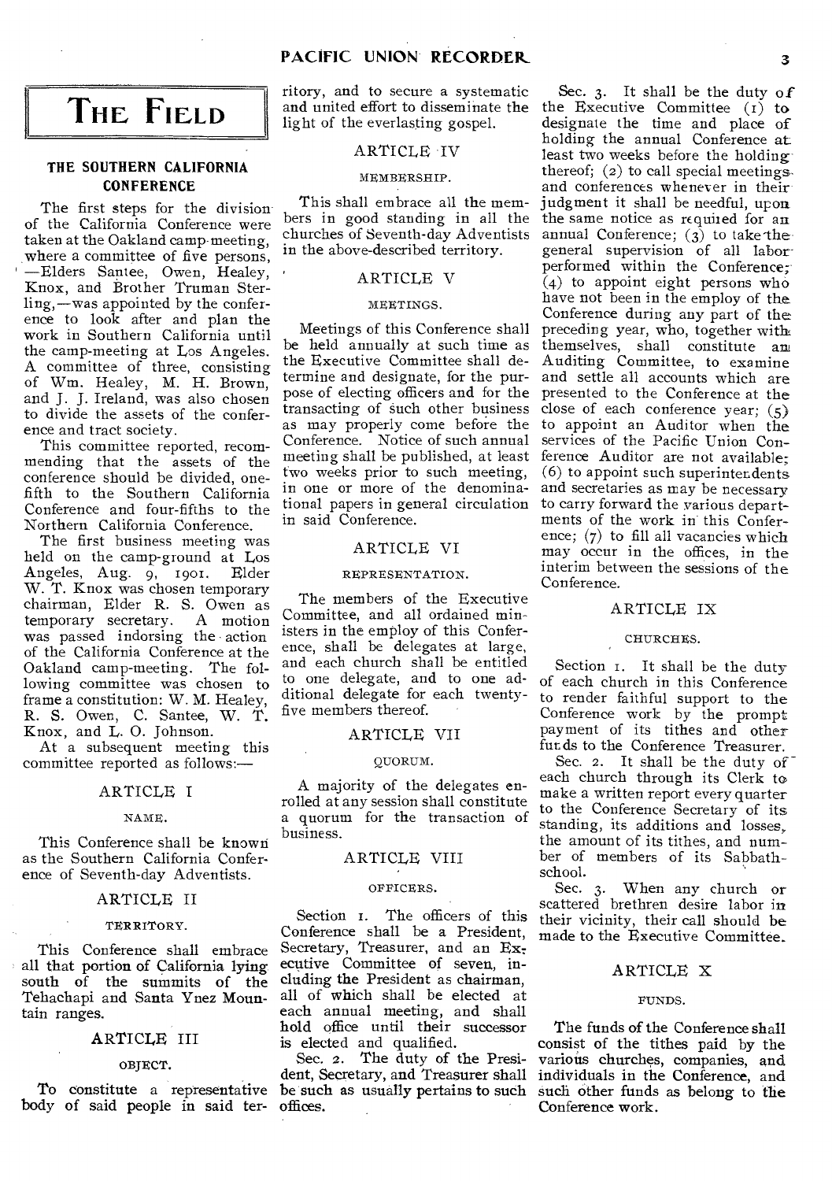# **THE FIELD**

# **THE SOUTHERN CALIFORNIA CONFERENCE**

The first steps for the division of the California Conference were taken at the Oakland camp meeting, where a committee of five persons, —Elders Santee, Owen, Healey, Knox, and Brother Truman Sterling,—was appointed by the conference to look after and plan the work in Southern California until the camp-meeting at Los Angeles. A committee of three, consisting of Wm. Healey, M. H. Brown, and J. J. Ireland, was also chosen to divide the assets of the conference and tract society.

This committee reported, recommending that the assets of the conference should be divided, onefifth to the Southern California Conference and four-fifths to the Northern California Conference.

The first business meeting was held on the camp-ground at Los<br>Angeles, Aug. 9, 1901. Elder Angeles, Aug. 9, 1901. W. T. Knox was chosen temporary chairman, Elder R. S. Owen as temporary secretary. A motion was passed indorsing the action of the California Conference at the Oakland camp-meeting. The following committee was chosen to frame a constitution: W. M. Healey, R. *S.* Owen, C. Santee, W. T. Knox, and L. 0. Johnson.

At a subsequent meeting this committee reported as follows:—

## ARTICLE I

#### NAME.

This Conference shall be known as the Southern California Conference of Seventh-day Adventists.

# ARTICLE II

#### TERRITORY.

This Conference shall embrace all that portion of California lying south of the summits of the Tehachapi and Santa Ynez Mountain ranges.

# ARTICLE III

#### OBJECT.

body of said people in said ter-offices.

ritory, and to secure a systematic and united effort to disseminate the light of the everlasting gospel.

# ARTICLE IV

#### MEMBERSHIP.

This shall embrace all the members in good standing in all the churches of Seventh-day Adventists in the above-described territory.

# ARTICLE V

# MEETINGS.

Meetings of this Conference shall be held annually at such time as the Executive Committee shall determine and designate, for the purpose of electing officers and for the transacting of such other business as may properly come before the Conference. Notice of such annual meeting shall be published, at least two weeks prior to such meeting, in one or more of the denominational papers in general circulation in said Conference.

# ARTICLE VI

# REPRESENTATION.

The members of the Executive Committee, and all ordained ministers in the employ of this Conference, shall be delegates at large, and each church shall be entitled to one delegate, and to one additional delegate for each twentyfive members thereof.

# ARTICLE VII

#### QUORUM.

A majority of the delegates enrolled at any session shall constitute a quorum for the transaction of business.

# ARTICLE VIII

#### OFFICERS.

Section I. The officers of this Conference shall be a President, Secretary, Treasurer, and an Executive Committee of seven, including the President as chairman, all of which shall be elected at each annual meeting, and shall hold office until their successor is elected and qualified.

To constitute a representative be such as usually pertains to such Sec. 2. The duty of the President, Secretary, and Treasurer shall

Sec. 3. It shall be the duty of the Executive Committee (I) to designate the time and place of holding the annual Conference at least two weeks before the holding thereof; (2) to call special meetings. and conferences whenever in their judgment it shall be needful, upon, the same notice as required for an annual Conference;  $(\hat{3})$  to take the general supervision of all laborperformed within the Conference;  $\vec{a}(4)$  to appoint eight persons who have not been in the employ of the Conference during any part of the preceding year, who, together with themselves, shall constitute am Auditing Committee, to examine and settle all accounts which are presented to the Conference at the close of each conference year;  $(5)$ to appoint an Auditor when the services of the Pacific Union Conference Auditor are not available; (6) to appoint such superintendents and secretaries as may be necessary to carry forward the various departments of the work in this Conference; (7) to fill all vacancies which may occur in the offices, in the interim between the sessions of the Conference.

# ARTICLE IX

# CHURCHES.

Section 1. It shall be the duty of each church in this Conference to render faithful support to the Conference work by the prompt payment of its tithes and other funds to the Conference Treasurer.

Sec. 2. It shall be the duty of each church through its Clerk to make a written report every quarter to the Conference Secretary of its standing, its additions and losses, the amount of its tithes, and number of members of its Sabbathschool.

Sec. 3. When any church or scattered brethren desire labor in their vicinity, their call should be made to the Executive Committee.

## ARTICLE X

#### FUNDS.

The funds of the Conference shall consist of the tithes paid by the various churches, companies, and individuals in the Conference, and such other funds as belong to the Conference work.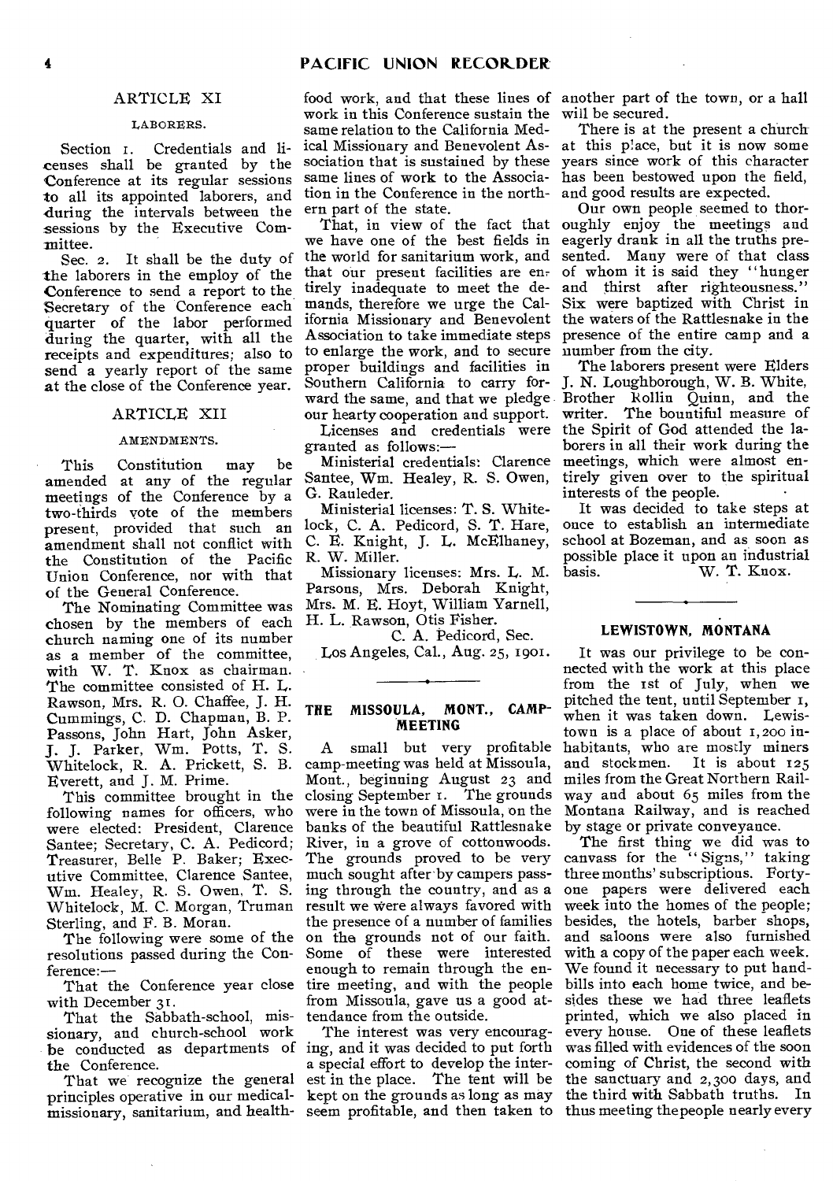# ARTICLE XI

## LABORERS.

Section 1. Credentials and licenses shall be granted by the Conference at its regular sessions to all its appointed laborers, and during the intervals between the sessions by the Executive Committee.

See. 2. It shall be the duty of the laborers in the employ of the Conference to send a report to the Secretary of the Conference each quarter of the labor performed during the quarter, with all the receipts and expenditures; also to send a yearly report of the same at the close of the Conference year.

## ARTICLE XII

#### AMENDMENTS.

This Constitution may be amended at any of the regular meetings of the Conference by a two-thirds vote of the members present, provided that such an amendment shall not conflict with the Constitution of the Pacific Union Conference, nor with that of the General Conference.

The Nominating Committee was chosen by the members of each H. L. Rawson, Otis Fisher. church naming one of its number as a member of the committee, with W. T. Knox as chairman. The committee consisted of H. L. Rawson, Mrs. R. 0. Chaffee, J. H. Cummings, C. D. Chapman, B. P. Passons, John Hart, John Asker, J. J. Parker, Wm. Potts, T. *S.*  Whitelock, R. A. Prickett, *S.* B. Everett, and J. M. Prime.

This committee brought in the following names for officers, who were elected: President, Clarence Santee; Secretary, C. A. Pedicord; Treasurer, Belle P. Baker; Executive Committee, Clarence Santee, Wm. Healey, R. S. Owen, T. *S.*  Whitelock, M. C. Morgan, Truman Sterling, and F. B. Moran.

The following were some of the resolutions passed during the Conference:—

with December 31.

That the Sabbath-school, missionary, and church-school work the Conference.

That we recognize the general principles operative in our medicalmissionary, sanitarium, and health-seem profitable, and then taken to thus meeting the people nearly every

food work, and that these lines of another part of the town, or a hall work in this Conference sustain the will be secured. same relation to the California Medtion in the Conference in the north-and good results are expected. ern part of the state.

we have one of the best fields in eagerly drank in all the truths preto enlarge the work, and to secure number from the city. proper buildings and facilities in Southern California to carry for- J. N. Loughborough, W. B. White, ward the same, and that we pledge our hearty cooperation and support. our hearty cooperation and support.<br>Licenses and credentials were

granted as follows:—

Ministerial credentials: Clarence Santee, Wm. Healey, R. S. Owen, G. Rauleder.

Ministerial licenses: T. S. Whitelock, C. A. Pedicord, S. T. Hare, C. E. Knight, J. L. McElhaney, R. W. Miller.

Missionary licenses: Mrs. L. M. Parsons, Mrs. Deborah Knight, Mrs. M. **E.** Hoyt, William Yarnell,

C. A. Pedicord, Sec. Los Angeles, Cal., Aug. 25, 1901.

# **THE MISSOULA, MONT., CAMP-MEETING**

That the Conference year close tire meeting, and with the people A small but very profitable camp-meeting was held at Missoula, Mont., beginning August 23 and closing September r. The grounds were in the town of Missoula, on the banks of the beautiful Rattlesnake River, in a grove of cottonwoods. The grounds proved to be very much sought after by campers passing through the country, and as a result we were always favored with the presence of a number of families on the grounds not of our faith. Some of these were interested enough to remain through the enfrom Missoula, gave us a good attendance from the outside.

be conducted as departments of ing, and it was decided to put forth The interest was very encouraga special effort to develop the interest in the place. The tent will be kept on the grounds as long as may

ical Missionary and Benevolent As-at this place, but it is now some sociation that is sustained by these years since work of this character same lines of work to the Associa-has been bestowed upon the field, There is at the present a church

That, in view of the fact that oughly enjoy the meetings and the world for sanitarium work, and sented. Many were of that class that our present facilities are en- of whom it is said they "hunger tirely inadequate to meet the de-and thirst after righteousness." mands, therefore we urge the Cal-Six were baptized with Christ in ifornia Missionary and Benevolent the waters of the Rattlesnake in the Association to take immediate steps presence of the entire camp and a Our own people seemed to thor-

> The laborers present were Elders Brother Rollin Quinn, and the writer. The bountiful measure of the Spirit of God attended the laborers in all their work during the meetings, which were almost entirely given over to the spiritual interests of the people.

> It was decided to take steps at once to establish an intermediate school at Bozeman, and as soon as possible place it upon an industrial<br>basis. W. T. Knox. W. T. Knox.

# **LEWISTOWN, MONTANA**

It was our privilege to be connected with the work at this place from the 1st of July, when we pitched the tent, until September r, when it was taken down. Lewistown is a place of about 1,200 inhabitants, who are mostly miners and stockmen. It is about 125 miles from the Great Northern Railway and about 65 miles from the Montana Railway, and is reached by stage or private conveyance.

The first thing we did was to canvass for the "Signs," taking three months' subscriptions. Fortyone papers were delivered each week into the homes of the people; besides, the hotels, barber shops, and saloons were also furnished with a copy of the paper each week. We found it necessary to put handbills into each home twice, and besides these we had three leaflets printed, which we also placed in every house. One of these leaflets was filled with evidences of the soon coming of Christ, the second with the sanctuary and 2,300 days, and the third with Sabbath truths. In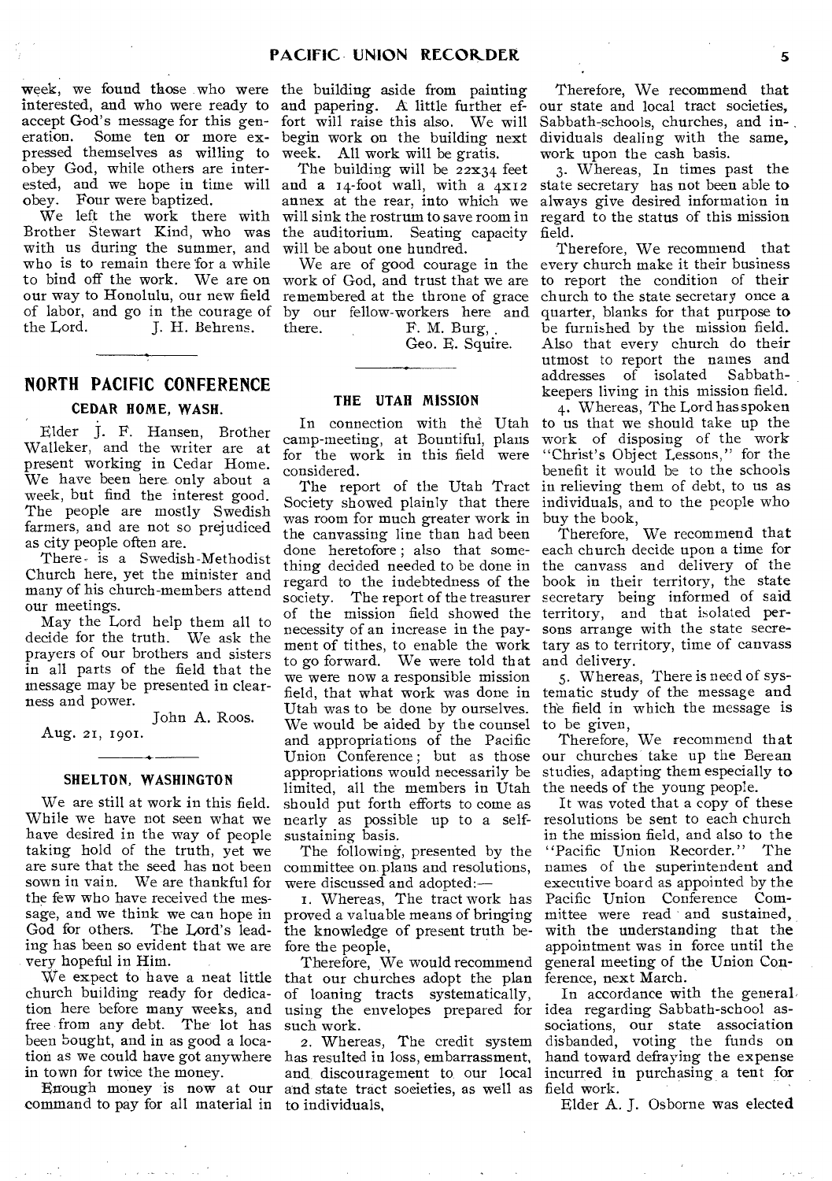week, we found those who were the building aside from painting interested, and who were ready to and papering. A little further efaccept God's message for this generation. Some ten or more expressed themselves as willing to obey God, while others are interested, and we hope in time will and a 14-foot wall, with a 4x12 obey. Four were baptized.

We left the work there with Brother Stewart Kind, who was with us during the summer, and who is to remain there for a while to bind off the work. We are on work of God, and trust that we are our way to Honolulu, our new field of labor, and go in the courage of by our fellow-workers here and the Lord. **J. H. Behrens.** 

# **NORTH PACIFIC CONFERENCE**

## **CEDAR HOME, WASH.**

Elder J. F. Hansen, Brother Walleker, and the writer are at present working in Cedar Home. We have been here only about a week, but find the interest good. The people are mostly Swedish farmers, and are not so prejudiced as city people often are.

There. is a Swedish-Methodist Church here, yet the minister and many of his church-members attend our meetings.

May the Lord help them all to decide for the truth. We ask the prayers of our brothers and sisters in all parts of the field that the message may be presented in clearness and power.

John A. Roos.

Aug. 21, 1901.

# **SHELTON, WASHINGTON**

We are still at work in this field. While we have not seen what we have desired in the way of people taking hold of the truth, yet we are sure that the seed has not been sown in vain. We are thankful for the few who have received the message, and we think we can hope in God for others. The Lord's leading has been so evident that we are fore the people, very hopeful in Him.

We expect to have a neat little church building ready for dedication here before many weeks, and free from any debt. The lot has been bought, and in as good a location as we could have got anywhere has resulted in loss, embarrassment, in town for twice the money.

command to pay for all material in to individuals,

fort will raise this also. We will begin work on the building next week. All work will be gratis.

The building will be 22x34 feet annex at the rear, into which we will sink the rostrum to save room in the auditorium. Seating capacity will be about one hundred.

We are of good courage in the remembered at the throne of grace there. F. M. Burg,

Geo. E. Squire.

# **THE UTAH MISSION**

In connection with the Utah camp-meeting, at Bountiful, plans for the work in this field were considered.

The report of the Utah Tract Society showed plainly that there was room for much greater work in the canvassing line than had been done heretofore ; also that something decided needed to be done in regard to the indebtedness of the society. The report of the treasurer of the mission field showed the necessity of an increase in the payment of tithes, to enable the work to go forward. We were told that we were now a responsible mission field, that what work was done in Utah was to be done by ourselves. We would be aided by the counsel and appropriations of the Pacific Union Conference ; but as those appropriations would necessarily be limited, all the members in Utah should put forth efforts to come as nearly as possible up to a selfsustaining basis.

The following, presented by the committee on plans and resolutions, were discussed and adapted:—

I. Whereas, The tract work has proved a valuable means of bringing the knowledge of present truth be-

Therefore, We would recommend that our churches adopt the plan of loaning tracts systematically, using the envelopes prepared for such work.

Enough money is now at our and state tract societies, as well as field work. 2. Whereas, The credit system and, discouragement to our local

Therefore, We recommend that our state and local tract societies, Sabbath-schools, churches, and individuals dealing with the same, work upon the cash basis.

3. Whereas, In times past the state secretary has not been able to always give desired information in regard to the status of this mission field.

Therefore, We recommend that every church make it their business to report the condition of their church to the state secretary once a quarter, blanks for that purpose to be furnished by the mission field. Also that every church do their utmost to report the names and addresses of isolated Sabbathkeepers living in this mission field.

4. Whereas, The Lord hasspoken to us that we should take up the work of disposing of the work "Christ's Object Lessons," for the benefit it would be to the schools in relieving them of debt, to us as individuals, and to the people who

buy the book,<br>Therefore, We recommend that each church decide upon a time for the canvass and delivery of the book in their territory, the state secretary being informed of said territory, and that isolated persons arrange with the state secretary as to territory, time of canvass and delivery.

5. Whereas, There is need of systematic study of the message and th'e field in which the message is to be given,

Therefore, We recommend that our churches take up the Berean studies, adapting them especially to the needs of the young people.

It was voted that a copy of these resolutions be sent to each church in the mission field, and also to the "Pacific Union Recorder." The names of the superintendent and executive board as appointed by the Pacific Union Conference Committee were read and sustained, with the understanding that the appointment was in force until the general meeting of the Union Conference, next March.

In accordance with the general, idea regarding Sabbath-school associations, our state association disbanded, voting the funds on hand toward defraying the expense incurred in purchasing a tent for

Elder A. J. Osborne was elected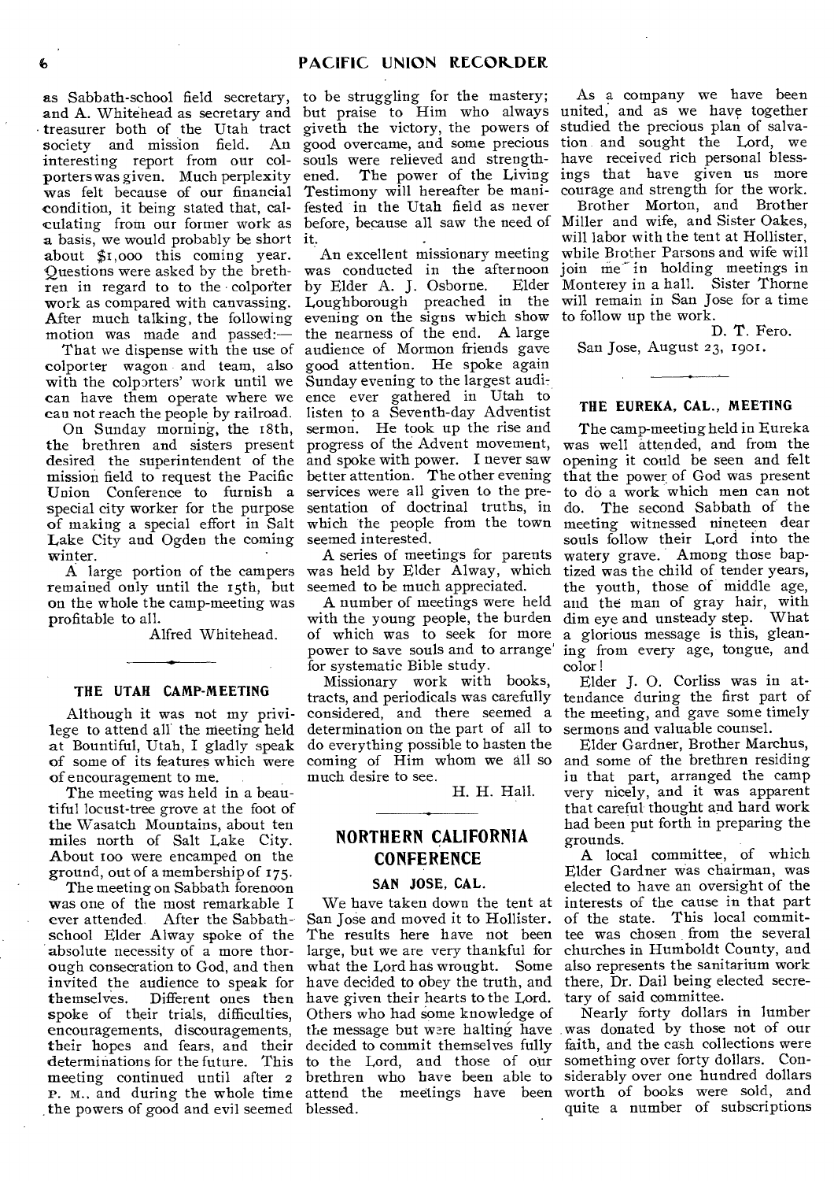as Sabbath-school field secretary, and A. Whitehead as secretary and • treasurer both of the Utah tract society and mission field. interesting report from our colporters was given. Much perplexity was felt because of our financial Testimony will hereafter be manicondition, it being stated that, calculating from our former work as before, because all saw the need of Miller and wife, and Sister Oakes, a basis, we would probably be short it. about \$1,000 this coming year. Questions were asked by the breth-was conducted in the afternoon ren in regard to to the colporter by Elder A. J. Osborne. Elder work as compared with canvassing. After much talking, the following motion was made and passed:—

colporter wagon and team, also with the colporters' work until we Sunday evening to the largest audican have them operate where we ence ever gathered in Utah to

On Sunday morning, the 18th, the brethren and sisters present progress of the Advent movement, desired the superintendent of the and spoke with power. I never saw mission field to request the Pacific better attention. The other evening Union Conference to furnish a services were all given to the prespecial city worker for the purpose of making a special effort in Salt Lake City and Ogden the coming winter.

remained only until the 15th, but seemed to be much appreciated. on the whole the camp-meeting was profitable to all.

Alfred Whitehead.

# **THE UTAH CAMP-MEETING**

Although it was not my privilege to attend all the meeting held at Bountiful, Utah, **I** gladly speak of some of its features which were of encouragement to me.

The meeting was held in a beautiful locust-tree grove at the foot of the Wasatch Mountains, about ten miles north of Salt Lake City. About too were encamped on the ground, out of a membership of 175.

The meeting on Sabbath forenoon was one of the most remarkable I ever attended. After the Sabbathschool Elder Alway spoke of the absolute necessity of a more thorough consecration to God, and then invited the audience to speak for themselves. Different ones then have given their hearts to the Lord. spoke of their trials, difficulties, encouragements, discouragements, their hopes and fears, and their determinations for the future. This to the Lord, and those of our meeting continued until after 2 brethren who have been able to P. M., and during the whole time attend the meetings have been . the powers of good and evil seemed blessed.

to be struggling for the mastery; but praise to Him who always united, and as we have together giveth the victory, the powers of studied the precious plan of salvagood overcame, and some precious tion and sought the Lord, we souls were relieved and strength- have received rich personal blessfested in the Utah field as never

That we dispense with the use of audience of Mormon friends gave can not reach the people by railroad. listen to a Seventh-day Adventist An excellent missionary meeting evening on the signs which show the nearness of the end. A large good attention. He spoke again sermon. He took up the rise and sentation of doctrinal truths, in which the people from the town seemed interested.

A large portion of the campers was held by Elder Alway, which A series of meetings for parents

> A number of meetings were held with the young people, the burden of which was to seek for more power to save souls and to arrange' for systematic Bible study.

> Missionary work with books, tracts, and periodicals was carefully considered, and there seemed a determination on the part of all to do everything possible to hasten the coming of Him whom we all so much desire to see.

> > H. H. Hall.

# **NORTHERN CALIFORNIA CONFERENCE**

## **SAN JOSE, CAL.**

We have taken down the tent at San Jose and moved it to Hollister. The results here have not been large, but we are very thankful for what the Lord has wrought. Some have decided to obey the truth, and Others who had some knowledge of decided to commit themselves fully

ened. The power of the Living ings that have given us more As a company we have been courage and strength for the work.

Loughborough preached in the will remain in San Jose for a time Brother Morton, and Brother will labor with the tent at Hollister, while Brother Parsons and wife will join me in holding meetings in Monterey in a hall. Sister Thorne to follow up the work.

D. T. Fero.

San Jose, August 23, 1901.

# **THE EUREKA, CAL., MEETING**

The camp-meeting held in Eureka was well attended, and from the opening it could be seen and felt that the power of God was present to do a work which men can not do. The second Sabbath of the meeting witnessed nineteen dear souls follow their Lord into the watery grave. Among those baptized was the child of tender years, the youth, those of middle age, and the man of gray hair, with dim eye and unsteady step. What a glorious message is this, gleaning from every age, tongue, and color!

Elder J. 0. Corliss was in attendance during the first part of the meeting, and gave some timely sermons and valuable counsel.

Elder Gardner, Brother Marchus, and some of the brethren residing in that part, arranged the camp very nicely, and it was apparent that careful thought and hard work had been put forth in preparing the grounds.

A local committee, of which Elder Gardner was chairman, was elected to have an oversight of the interests of the cause in that part of the state. This local committee was chosen from the several churches in Humboldt County, and also represents the sanitarium work there, Dr. Dail being elected secretary of said committee.

the message but were halting have was donated by those not of our Nearly forty dollars in lumber faith, and the cash collections were something over forty dollars. Considerably over one hundred dollars worth of books were sold, and quite a number of subscriptions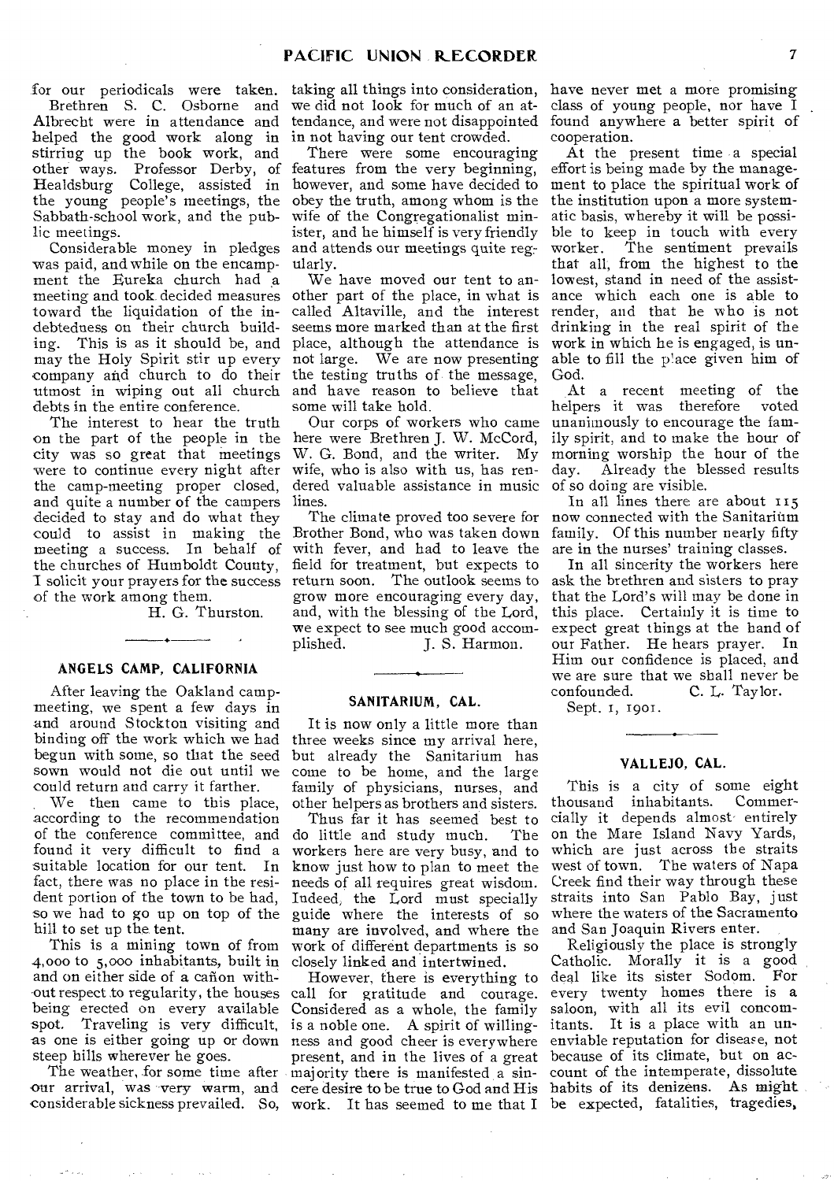for our periodicals were taken.

Brethren S. C. Osborne and Albrecht were in attendance and helped the good work along in stirring up the book work, and other ways. Professor Derby, of Healdsburg College, assisted in the young people's meetings, the Sabbath-school work, and the public meetings.

Considerable money in pledges was paid, and while on the encampment the Eureka church had a meeting and took decided measures toward the liquidation of the indebtedness on their church building. This is as it should be, and may the Holy Spirit stir up every company and church to do their utmost in wiping out all church debts in the entire conference.

The interest to hear the truth on the part of the people in the city was so great that meetings were to continue every night after the camp-meeting proper closed, and quite a number of the campers lines. decided to stay and do what they could to assist in making the meeting a success. In behalf of the churches of Humboldt County, I solicit your prayers for the success of the work among them.

H. G. Thurston.

# **ANGELS CAMP, CALIFORNIA**

After leaving the Oakland campmeeting, we spent a few days in and around Stockton visiting and binding off the work which we had begun with some, so that the seed sown would not die out until we could return and carry it farther.

We then came to this place, according to the recommendation of the conference committee, and found it very difficult to find a suitable location for our tent. In fact, there was no place in the resident portion of the town to be had, so we had to go up on top of the hill to set up the tent.

This is a mining town of from 4,000 to 5,000 inhabitants, built in and on either side of a canon without respect to regularity, the houses being erected on every available spot. Traveling is very difficult, as one is either going up or down steep hills wherever he goes.

The weather, for some time after our arrival, was very warm, and

we did not look for much of an atin not having our tent crowded.

There were some encouraging features from the very beginning, obey the truth, among whom is the the institution upon a more systemwife of the Congregationalist minister, and he himself is very friendly and attends our meetings quite regularly.

We have moved our tent to anplace, although the attendance is not large. We are now presenting the testing truths of, the message, and have reason to believe that some will take hold.

Our corps of workers who came here were Brethren J. W. McCord, W. G. Bond, and the writer. My wife, who is also with us, has rendered valuable assistance in music

The climate proved too severe for Brother Bond, who was taken down with fever, and had to leave the field for treatment, but expects to return soon. The outlook seems to grow more encouraging every day, and, with the blessing of the Lord, we expect to see much good accom-<br>plished. [ ]. S. Harmon. J. S. Harmon.

#### **SANITARIUM, CAL.**

It is now only a little more than three weeks since my arrival here, but already the Sanitarium has come to be home, and the large family of physicians, nurses, and other helpers as brothers and sisters.

Thus far it has seemed best to<br>iittle and study much. The do little and study much. workers here are very busy, and to know just how to plan to meet the needs of all requires great wisdom. Indeed, the Lord must specially guide where the interests of so many are involved, and where the work of different departments is so closely linked and intertwined.

considerable sickness prevailed. So, work. It has seemed to me that I be expected, fatalities, tragedies, call for gratitude and courage. every twenty homes there is a Considered as a whole, the family is a noble one. A spirit of willingness and good cheer is everywhere enviable reputation for disease, not present, and in the lives of a great because of its climate, but on acmajority there is manifested a sin-count of the intemperate, dissolute

taking all things into consideration, have never met a more promising tendance, and were not disappointed found anywhere a better spirit of class of young people, nor have I cooperation.

however, and some have decided to ment to place the spiritual work of other part of the place, in what is ance which each one is able to called Altaville, and the interest render, and that he who is not seems more marked than at the first drinking in the real spirit of the At the present time a special effort is being made by the manageatic basis, whereby it will be possible to keep in touch with every worker. The sentiment prevails that all, from the highest to the lowest, stand in need of the assistwork in which he is engaged, is unable to fill the place given him of God.

> At a recent meeting of the helpers it was therefore voted unanimously to encourage the family spirit, and to make the hour of morning worship the hour of the day. Already the blessed results of so doing are visible.

> In all lines there are about 115 now connected with the Sanitarium family. Of this number nearly fifty are in the nurses' training classes.

> In all sincerity the workers here ask the brethren and sisters to pray that the Lord's will may be done in this place. Certainly it is time to expect great things at the hand of our Father. He hears prayer. In Him our confidence is placed, and we are sure that we shall never be<br>confounded. C. L. Taylor. C. L. Taylor.

Sept. 1, 19or.

# **VALLEJO, CAL.**

This is a city of some eight thousand inhabitants. cially it depends almost• entirely on the Mare Island Navy Yards, which are just across the straits west of town. The waters of Napa Creek find their way through these straits into San Pablo Bay, just where the waters of the Sacramento and San Joaquin Rivers enter.

However, there is everything to deal like its sister Sodom. For cere desire to be true to God and His habits of its denizens. As might Religiously the place is strongly Catholic. Morally it is a good saloon, with all its evil concomitants. It is a place with an un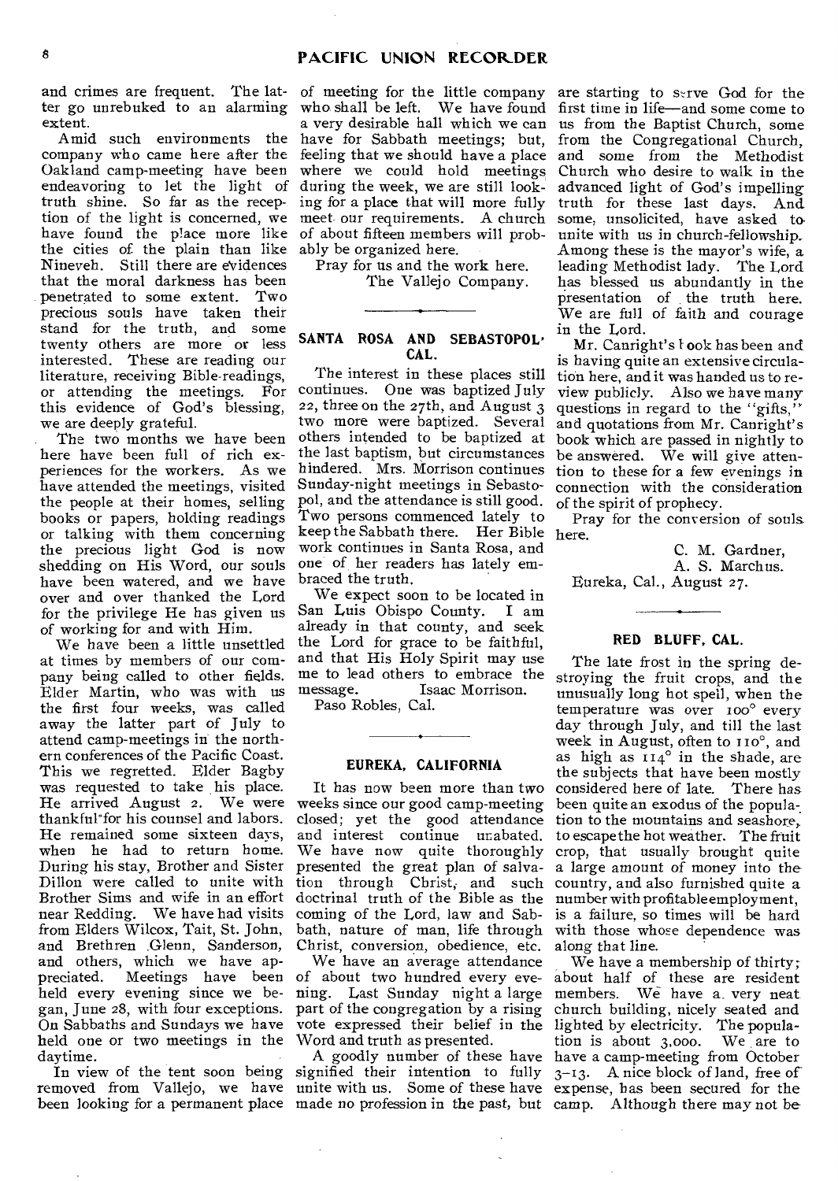and crimes are frequent. The latter go unrebuked to an alarming extent.

Amid such environments the company who came here after the Oakland camp-meeting have been endeavoring to let the light of truth shine. So far as the reception of the light is concerned, we have found the place more like the cities of the plain than like Nineveh. Still there are evidences that the moral darkness has been penetrated to some extent. Two precious souls have taken their stand for the truth, and some twenty others are more or less interested. These are reading our literature, receiving Bible-readings, or attending the meetings. For this evidence of God's blessing, we are deeply grateful.

The two months we have been here have been full of rich experiences for the workers. As we have attended the meetings, visited the people at their homes, selling books or papers, holding readings or talking with them concerning the precious light God is now shedding on His Word, our souls have been watered, and we have over and over thanked the Lord for the privilege He has given us of working for and with Him.

We have been a little unsettled at times by members of our company being called to other fields. Elder Martin, who was with us the first four weeks, was called away the latter part of July to attend camp-meetings in the northern conferences of the Pacific Coast. This we regretted. Elder Bagby was requested to take his place. He arrived August 2. We were thankful for his counsel and labors. He remained some sixteen days, when he had to return home. During his stay, Brother and Sister Dillon were called to unite with Brother Sims and wife in an effort near Redding. We have had visits from Elders Wilcox, Tait, St. John, and Brethren Glenn, Sanderson, and others, which we have ap-<br>preciated. Meetings have been preciated. Meetings have been of about two hundred every eveheld every evening since we began, June 28, with four exceptions. On Sabbaths and Sundays we have held one or two meetings in the Word and truth as presented. daytime.

of meeting for the little company who shall be left. We have found a very desirable hall which we can have for Sabbath meetings; but, feeling that we should have a place and some from the Methodist where we could hold meetings during the week, we are still looking for a place that will more fully meet our requirements. A church of about fifteen members will probably be organized here.

Pray for us and the work here. The Vallejo Company.

# **SANTA ROSA AND SEBASTOPOL, CAL.**

The interest in these places still continues. One was baptized July 22, three on the 27th, and August 3 two more were baptized. Several others intended to be baptized at the last baptism, but circumstances hindered. Mrs. Morrison continues Sunday-night meetings in Sebastopol, and the attendance is still good. Two persons commenced lately to keep the Sabbath there. Her Bible here. work continues in Santa Rosa, and one of her readers has lately embraced the truth.

We expect soon to be located in San Luis Obispo County. I am already in that county, and seek the Lord for grace to be faithful, and that His Holy Spirit may use me to lead others to embrace the<br>message. Isaac Morrison. Isaac Morrison.

Paso Robles, Cal.

# **EUREKA, CALIFORNIA**

It has now been more than two weeks since our good camp-meeting closed; yet the good attendance and interest continue unabated. We have now quite thoroughly presented the great plan of *salvation* through Christ, and such country, and also furnished quite a doctrinal truth of the Bible as the number with profitable employment, coming of the Lord, law and Sabbath, nature of man, life through with those whose dependence was Christ, conversion, obedience, etc.

We have an average attendance ning. Last Sunday night a large vote expressed their belief in the Word and truth as presented.

been looking for a permanent place made no profession in the past, but camp. Although there may not be

are starting to serve God for the first time in life—and some come to us from the Baptist Church, some from the Congregational Church, Church who desire to walk in the advanced light of God's impelling truth for these last days. And some, unsolicited, have asked to unite with us in church-fellowship\_ Among these is the mayor's wife, a leading Methodist lady. The Lord has blessed us abundantly in the presentation of the truth here. We are full of faith and courage in the Lord.

Mr. Canright's look has been and is having quite an extensive circulation here, and it was handed us to review publicly. Also we have many questions in regard to the "gifts," and quotations from Mr. Canright's book which are passed in nightly to be answered. We will give attention to these for a few evenings in connection with the consideration of the spirit of prophecy.

Pray for the conversion of souls

C. M. Gardner, A. *S.* Marchus. Eureka, Cal., August 27.

# **RED BLUFF, CAL.**

The late frost in the spring destroying the fruit crops, and the unusually long hot spell, when the temperature was over 100° every day through July, and till the last week in August, often to 110°, and as high as  $114^\circ$  in the shade, are the subjects that have been mostly considered here of late. There has been quite an exodus of the popula-. tion to the mountains and seashore, to escape the hot weather. The fruit crop, that usually brought quite a large amount of money into the is a failure, so times will be hard along that line.

In view of the tent soon being signified their intention to fully 3-13. A nice block of land, free of removed from Vallejo, we have unite with us. Some of these have expense, has been secured for the part of the congregation by a rising church building, nicely seated and A goodly number of these have have a camp-meeting from October We have a membership of thirty; about half of these are resident members. We have a. very neat lighted by electricity. The population is about 3,000. We are to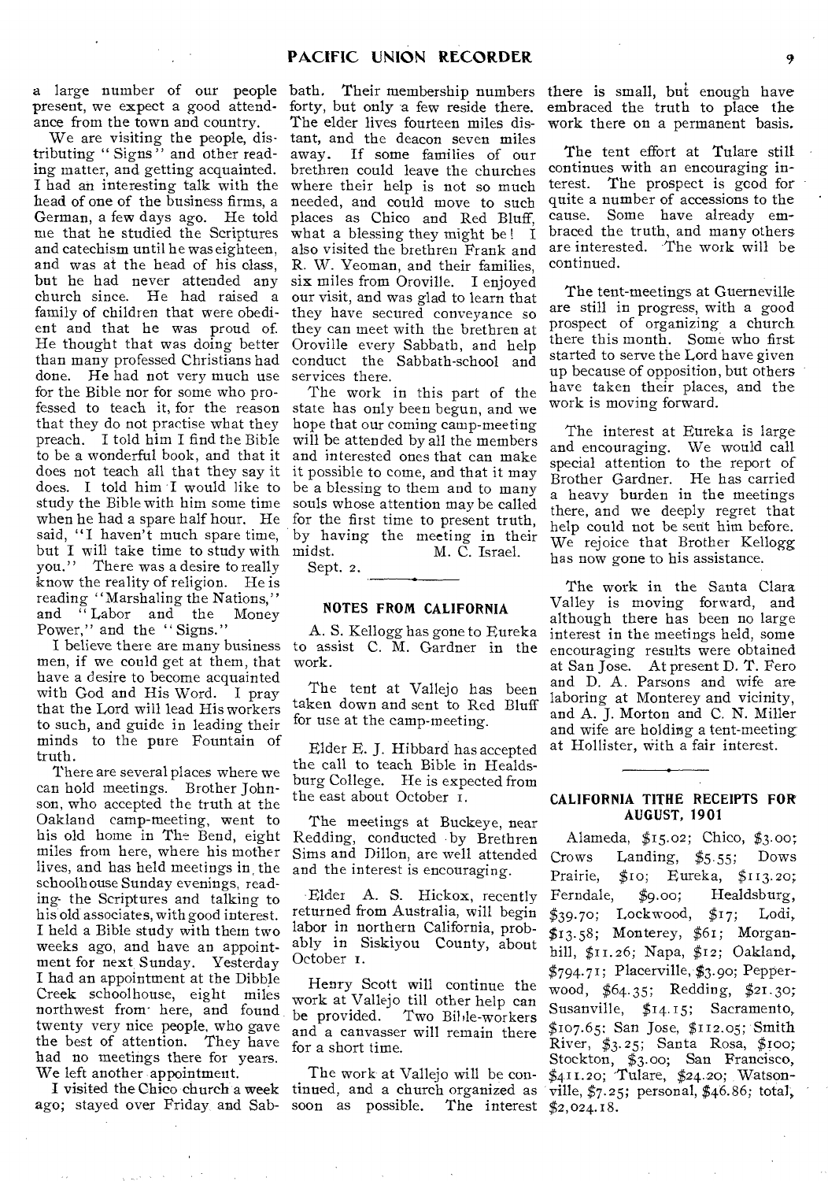a large number of our people present, we expect a good attendance from the town and country.

We are visiting the people, distributing " Signs" and other reading matter, and getting acquainted. I had an interesting talk with the head of one of the business firms, a German, a few days ago. He told me that he studied the Scriptures and catechism until he was eighteen, and was at the head of his class, but he had never attended any church since. He had raised a family of children that were obedient and that he was proud of. He thought that was doing better than many professed Christians had done. He had not very much use for the Bible nor for some who professed to teach it, for the reason that they do not practise what they preach. I told him I find the Bible to be a wonderful book, and that it does not teach all that they say it does. I told him I would like to study the Bible with him some time when he had a spare half hour. He said, "I haven't much spare time, but I will take time to study with you." There was a desire to really know the reality of religion. He is reading "Marshaling the Nations," and " Labor and the Money Power," and the "Signs."

men, if we could get at them, that have a desire to become acquainted with God and His Word. I pray that the Lord will lead His workers to such, and guide in leading their minds to the pure Fountain of truth.

There are several places where we can hold meetings. Brother Johnson, who accepted the truth at the Oakland camp-meeting, went to his old home in The Bend, eight miles from here, where his mother lives, and has held meetings in, the schoolhouse Sunday evenings, reading- the Scriptures and talking to his old associates, with good interest. I held a Bible study with them two weeks ago, and have an appointment for next Sunday. Yesterday I had an appointment at the Dibble Creek schoolhouse, eight miles northwest from here, and found twenty very nice people, who gave the best of attention. They have had no meetings there for years. We left another appointment.

ago; stayed over Friday and Sab- soon as possible. The interest  $\sharp_{2,024.18}$ .

bath. Their membership numbers there is small, but enough have forty, but only a few reside there. The elder lives fourteen miles distant, and the deacon seven miles away. If some families of our brethren could leave the churches where their help is not so much needed, and could move to such places as Chico and Red Bluff, what a blessing they might be! I also visited the brethren Frank and R. W. Yeoman, and their families, six miles from Oroville. I enjoyed our visit, and was glad to learn that they have secured conveyance so they can meet with the brethren at Oroville every Sabbath, and help conduct the Sabbath-school and services there.

The work in this part of the state has only been begun, and we hope that our coming camp-meeting will be attended by all the members and interested ones that can make it possible to come, and that it may be a blessing to them and to many souls whose attention may be called for the first time to present truth, by having the meeting in their midst. M. C. Israel.

Sept. 2.

# NOTES FROM CALIFORNIA

I believe there are many business to assist C. M. Gardner in the A. S. Kellogg has gone to Eureka work.

> The tent at Vallejo has been taken down and sent to Red Bluff for use at the camp-meeting.

> Elder E. J. Hibbard has accepted the call to teach Bible in Healdsburg College. He is expected from the east about October 1.

The meetings at Buckeye, near Redding, conducted by Brethren Sims and Dillon, are well attended and the interest is encouraging.

Elder A. S. Hickox, recently returned from Australia, will begin labor in northern California, probably in Siskiyou County, about October r.

Henry Scott will continue the work at Vallejo till other help can be provided. Two Bible-workers and a canvasser will remain there for a short time.

The work at Vallejo will be con-

embraced the truth to place the work there on a permanent basis.

The tent effort at Tulare still continues with an encouraging interest. The prospect is gcod for quite a number of accessions to the cause. Some have already embraced the truth, and many others are interested. The work will be continued.

The tent-meetings at Guerneville are still in progress, with a good prospect of organizing a church there this month. Some who first started to serve the Lord have given up because of opposition, but others have taken their places, and the work is moving forward.

The interest at Eureka is large and encouraging. We would call special attention to the report of Brother Gardner. He has carried a heavy burden in the meetings there, and we deeply regret that help could not be sent him before. We rejoice that Brother Kellogg has now gone to his assistance.

The work in the Santa Clara Valley is moving forward, and although there has been no large interest in the meetings held, some encouraging results were obtained at San Jose. At present D. T. Fero and D. A. Parsons and wife are laboring at Monterey and vicinity, and A. J. Morton and C. N. Miller and wife are holding a tent-meeting at Hollister, with a fair interest.

# CALIFORNIA TITHE RECEIPTS FOR AUGUST, 1901

I visited the Chico church a week tinued, and a church organized as ville, \$7.25; personal, \$46.86; total, Alameda, \$15.02; Chico, \$3.00; Crows Landing, \$5.55; Dows Prairie, \$to; Eureka, \$113.20; Ferndale, \$9.00; Healdsburg, \$39.70; Lockwood, \$17; Lodi, \$13.58; Monterey, \$61; Morganhill, \$11.26; Napa, \$12; Oakland,  $$794.71$ ; Placerville, \$3.90; Pepperwood, \$64.35; Redding, \$21.30; Susanville, \$14.15; Sacramento, \$107.65; San Jose, \$ri2.o5; Smith River, \$3.25; Santa Rosa, \$roo; Stockton, \$3.00; San Francisco, \$41 r.20; 'Tulare, \$24.20; Watson-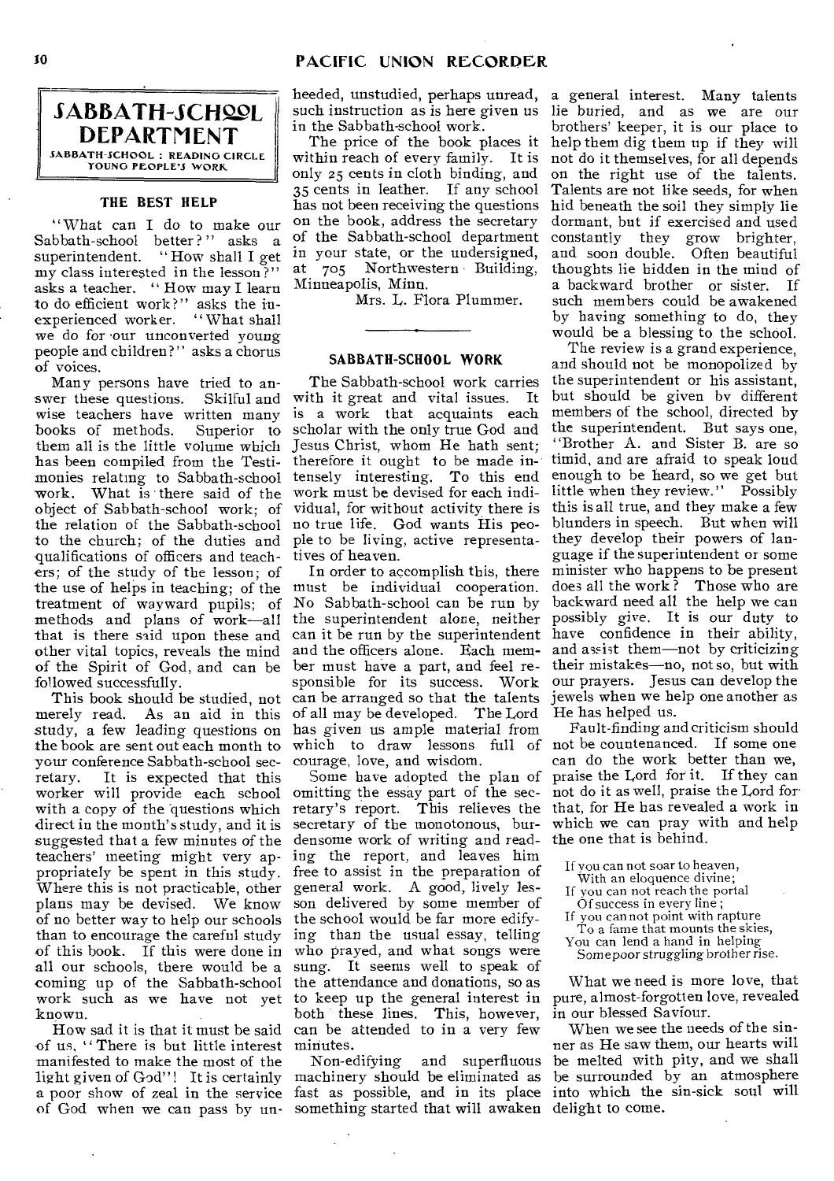# SABBATH-SCHOOL **DEPARTMENT**  SABBATH-SCHOOL : READING CIRCLE YOUNG PEOPLE'S WORK

# **THE BEST HELP**

"What can I do to make our Sabbath-school better?" asks a<br>superintendent. "How shall I get "How shall I get  $\overrightarrow{mv}$  class interested in the lesson?" asks a teacher. " How may I learn to do efficient work?" asks the inexperienced worker. "What shall we do for our unconverted young people and children?" asks a chorus of voices.

Many persons have tried to an-<br>ver these questions. Skilful and swer these questions. wise teachers have written many<br>books of methods. Superior to books of methods. them all is the little volume which has been compiled from the Testimonies relating to Sabbath-school work. What is there said of the object of Sabbath-school work; of the relation of the Sabbath-school to the church; of the duties and qualifications of officers and teachers; of the study of the lesson; of the use of helps in teaching; of the treatment of wayward pupils; of methods and plans of work—all that is there said upon these and other vital topics, reveals the mind of the Spirit of God, and can be followed successfully.

merely read. As an aid in this study, a few leading questions on the book are sent out each month to your conference Sabbath-school secretary. It is expected that this It is expected that this worker will provide each school with a copy of the questions which direct in the month's study, and it is suggested that a few minutes of the teachers' meeting might very appropriately be spent in this study. Where this is not practicable, other plans may be devised. We know of no better way to help our schools than to encourage the careful study of this book. If this were done in all our schools, there would be a coming up of the Sabbath-school work such as we have not yet to keep up the general interest in known.

How sad it is that it must be said of us, " There is but little interest manifested to make the most of the light given of God"! It is certainly a poor show of zeal in the service fast as possible, and in its place into which the sin-sick soul will of God when we can pass by un-something started that will awaken delight to come.

heeded, unstudied, perhaps unread, a general interest. Many talents such instruction as is here given us in the Sabbath-school work.

The price of the book places it within reach of every family. It is only 25 cents in cloth binding, and 35 cents in leather. If any school has not been receiving the questions on the book, address the secretary of the Sabbath-school department in your state, or the undersigned, at 705 Northwestern • Building, Minneapolis, Minn.

Mrs. L. Flora Plummer.

## **SABBATH-SCHOOL WORK**

The Sabbath-school work carries with it great and vital issues. It is a work that acquaints each scholar with the only true God and Jesus Christ, whom He hath sent; therefore it ought to be made intensely interesting. To this end work must be devised for each individual, for without activity there is no true life. God wants His people to be living, active representatives of heaven.

This book should be studied, not can be arranged so that the talents jewels when we help one another as In order to accomplish this, there must be individual cooperation. No Sabbath-school can be run by the superintendent alone, neither can it be run by the superintendent have confidence in their ability, and the officers alone. Each member must have a part, and feel responsible for its success. Work of all may be developed. The Lord has given us ample material from which to draw lessons full of not be countenanced. If some one courage, love, and wisdom.

> Some have adopted the plan of omitting the essay part of the secretary's report. This relieves the secretary of the monotonous, burdensome work of writing and reading the report, and leaves him free to assist in the preparation of general work. A good, lively lesson delivered by some member of the school would be far more edifying than the usual essay, telling who prayed, and what songs were sung. It seems well to speak of the attendance and donations, so as both these lines. This, however, can be attended to in a very few minutes.

Non-edifying and superfluous

lie buried, and as we are our brothers' keeper, it is our place to help them dig them up if they will not do it themselves, for all depends on the right use of the talents. Talents are not like seeds, for when hid beneath the soil they simply lie dormant, but if exercised and used constantly they grow brighter, and soon double. Often beautiful thoughts lie hidden in the mind of a backward brother or sister. If such members could be awakened by having something to do, they would be a blessing to the school.

The review is a grand experience, and should not be monopolized by the superintendent or his assistant, but should be given by different members of the school, directed by the superintendent. But says one, "Brother A. and Sister B. are so timid, and are afraid to speak loud enough to be heard, so we get but little when they review." Possibly this is all true, and they make a few blunders in speech. But when will they develop their powers of language if the superintendent or some minister who happens to be present does all the work? Those who are backward need all the help we can possibly *give. It* is our duty to and assist them—not by criticizing their mistakes—no, not so, but with our prayers. Jesus can develop the He has helped us.

Fault-finding and criticism should can do the work better than we, praise the Lord for it. If they can not do it as well, praise the Lord for that, for He has revealed a work in which we can pray with and help the one that is behind.

- If you can not soar to heaven,
- With an eloquence divine;
- If you can not reach the portal Of success in every line ;
- If you cannot point with rapture To a fame that mounts the skies,
- You can lend a hand in helping
- Some poor struggling brother rise.

What we need is more love, that pure, almost-forgotten love, revealed in our blessed Saviour.

machinery should be eliminated as be surrounded by an atmosphere When we see the needs of the sinner as He saw them, our hearts will be melted with pity, and we shall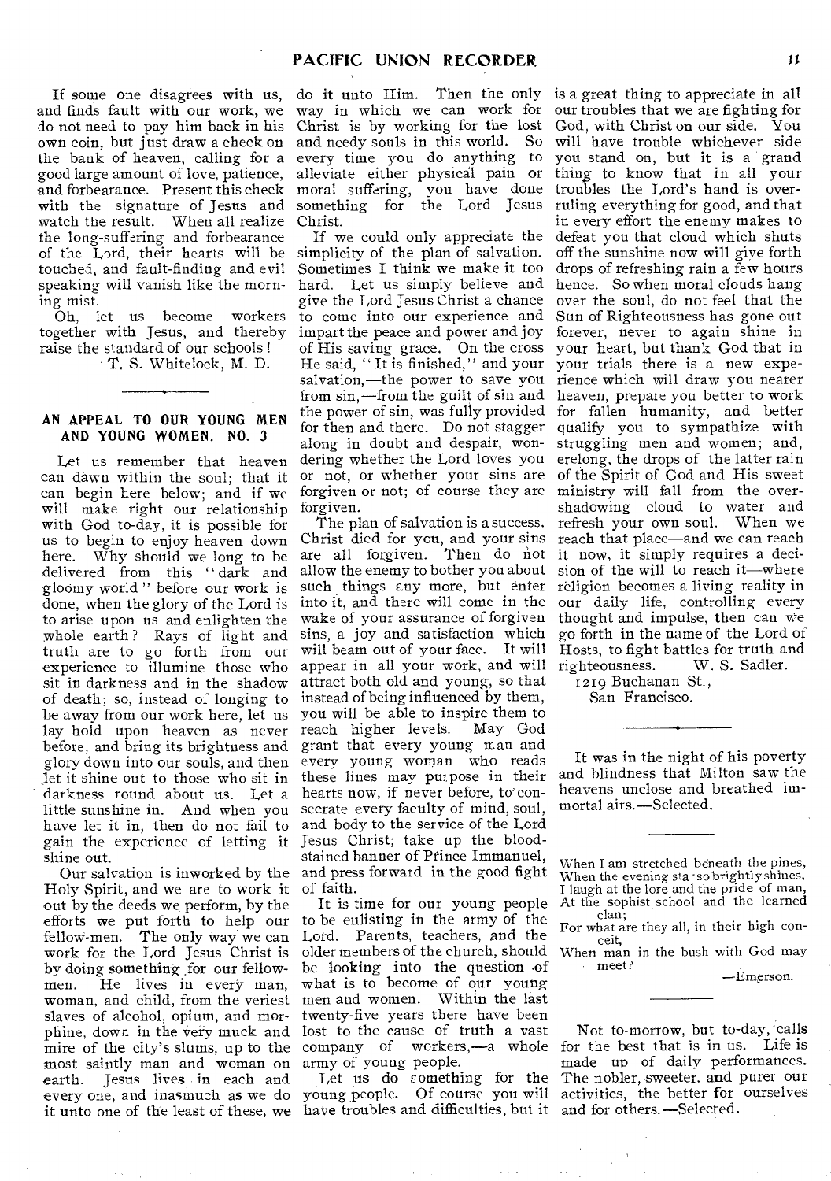If some one disagrees with us, and finds fault with our work, we do not need to pay him back in his own coin, but just draw a check on the bank of heaven, calling for a good large amount of love, patience, and forbearance. Present this check with the signature of Jesus and watch the result. When all realize the long-suffering and forbearance of the Lord, their hearts will be touched, and fault-finding and evil speaking will vanish like the morning mist.

Oh, let us become workers together with Jesus, and thereby raise the standard of our schools !

• T. S. Whitelock, M. D.

# **AN APPEAL TO OUR YOUNG MEN AND YOUNG WOMEN. NO.** 3

Let us remember that heaven can dawn within the soul; that it can begin here below; and if we will make right our relationship with God to-day, it is possible for us to begin to enjoy heaven down Why should we long to be delivered from this " dark and gloomy world " before our work is done, when the glory of the Lord is to arise upon us and enlighten the whole earth? Rays of light and truth are to go forth from our experience to illumine those who sit in darkness and in the shadow of death; so, instead of longing to be away from our work here, let us lay hold upon heaven as never before, and bring its brightness and glory down into our souls, and then let it shine out to those who sit in darkness round about us. Let a little sunshine in. And when you have let it in, then do not fail to gain the experience of letting it shine out.

Holy Spirit, and we are to work it out by the deeds we perform, by the efforts we put forth to help our fellow-men. The only way we can work for the Lord Jesus Christ is by doing something .for our fellowmen. He lives in every man, woman, and child, from the veriest slaves of alcohol, opium, and morphine, down in the very muck and mire of the city's slums, up to the most saintly man and woman on earth. Jesus lives in each and every one, and inasmuch as we do it unto one of the least of these, we

do it unto Him. Then the only way in which we can work for Christ is by working for the lost and needy souls in this world. So every time you do anything to alleviate either physical pain or moral suffering, you have done something for the Lord Jesus Christ.

If we could only appreciate the simplicity of the plan of salvation. Sometimes I think we make it too hard. Let us simply believe and give the Lord Jesus Christ a chance to come into our experience and impart the peace and power and joy of His saving grace. On the cross He said, " It is finished," and your salvation,—the power to save you from sin,—from the guilt of sin and the power of sin, was fully provided for then and there. Do not stagger along in doubt and despair, wondering whether the Lord loves you or not, or whether your sins are forgiven or not; of course they are forgiven.

Our salvation is inworked by the and press forward in the good fight The plan of salvation is a success. Christ died for you, and your sins are all forgiven. Then do not allow the enemy to bother you about such things any more, but enter into it, and there will come in the wake of your assurance of forgiven sins, a joy and satisfaction which will beam out of your face. It will appear in all your work, and will righteousness. W. S. Sadler. attract both old and young, so that instead of being influenced by them, you will be able to inspire them to<br>reach higher levels. May God reach higher levels. grant that every young man and every young woman who reads these lines may pui pose in their hearts now, if never before, to consecrate every faculty of mind, soul, and body to the service of the Lord Jesus Christ; take up the bloodstained banner of Prince Immanuel, of faith.

> It is time for our young people to be enlisting in the army of the Lord. Parents, teachers, and the older members of the church, should be looking into the question .of what is to become of our young men and women. Within the last twenty-five years there have been lost to the cause of truth a vast company of workers,—a whole army of young people.

Let us do something for the young people. Of course you will have troubles and difficulties, but it

is a great thing to appreciate in all our troubles that we are fighting for God, with Christ on our side. You will have trouble whichever side you stand on, but it is a grand thing to know that in all your troubles the Lord's hand is overruling everything for good, and that in every effort the enemy makes to defeat you that cloud which shuts off the sunshine now will give forth drops of refreshing rain a few hours hence. So when moral clouds hang over the soul, do not feel that the Sun of Righteousness has gone out forever, never to again shine in your heart, but thank God that in your trials there is a new experience which will draw you nearer heaven, prepare you better to work for fallen humanity, and better qualify you to sympathize with struggling men and women; and, erelong, the drops of the latter rain of the Spirit of God and His sweet ministry will fall from the overshadowing cloud to water and refresh your own soul. When we reach that place—and we can reach it now, it simply requires a decision of the will to reach it—where religion becomes a living reality in our daily life, controlling every thought and impulse, then can we go forth in the name of the Lord of Hosts, to fight battles for truth and<br>righteousness. W. S. Sadler.

1219 Buchanan St., San Francisco.

It was in the night of his poverty and blindness that Milton saw the heavens unclose and breathed immortal airs.—Selected.

When I am stretched beneath the pines, When the evening sia -sobrightly shines, I laugh at the lore and the pride of man, At the sophist school and the learned clan;

For what are they all, in their high con-<br>ceit,

When man in the bush with God may meet?

—Emerson.

Not to-morrow, but to-day, calls for the best that is in us. Life is made up of daily performances. The nobler, sweeter, and purer our activities, the better for ourselves and for others.—Selected.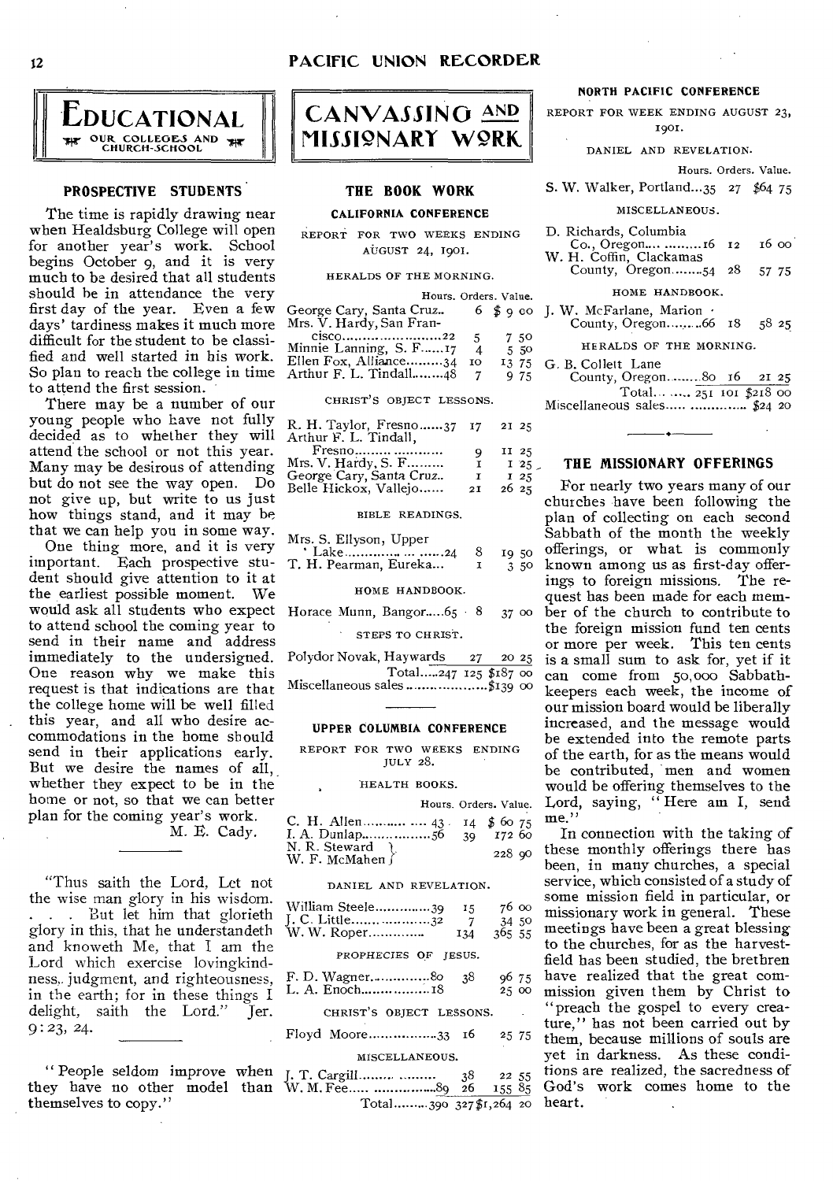

# **PROSPECTIVE STUDENTS**

The time is rapidly drawing near when Healdsburg College will open for another year's work. School begins October 9, and it is very much to be desired that all students should he in attendance the very first day of the year. Even a few days' tardiness makes it much more difficult for the student to be classified and well started in his work. So plan to reach the college in time  $\tilde{A}$ to attend the first session.

There may be a number of our young people who have not fully decided as to whether they will attend the school or not this year. Many may be desirous of attending but do not see the way open. Do not give up, but write to us just how things stand, and it may be that we can help you in some way.

One thing more, and it is very important. Each prospective student should give attention to it at the earliest possible moment. We would ask all students who expect to attend school the coming year to send in their name and address immediately to the undersigned. One reason why we make this request is that indications are that the college home will be well filled this year, and all who desire accommodations in the home should send in their applications early. But we desire the names of all, whether they expect to be in the home or not, so that we can better plan for the coming year's work. M. E. Cady.

"Thus saith the Lord, Let not the wise man glory in his wisdom. . . . But let him that glorieth glory in this, that he understandeth and knoweth Me, that I am the Lord which exercise lovingkindness, judgment, and righteousness, in the earth; for in these things I<br>delight. saith the Lord." Ter. delight, saith the Lord." 9:23, 24.

" People seldom improve when J. T. Cargill 38 22 55 they have no other model than W. M. Fee  $\frac{36}{26}$   $\frac{22}{35}$   $\frac{35}{65}$ themselves to copy."



# **THE BOOK WORK**

CALIFORNIA CONFERENCE

REPORT FOR TWO WEEKS ENDING AUGUST 24, 1901.

#### HERALDS OF THE MORNING.

|                          |    | Hours. Orders. Value. |
|--------------------------|----|-----------------------|
| George Cary, Santa Cruz  |    | $6 \text{ so }$       |
| Mrs. V. Hardy, San Fran- |    |                       |
| $CISCO$ 22               | 5  | 750                   |
| Minnie Lanning, S. F17   | 4  | 5.50                  |
| Ellen Fox, Alliance34    | 10 | I3 75                 |
| Arthur F. L. Tindall48   |    | 9 75                  |

#### CHRIST'S OBJECT LESSONS.

| R. H. Taylor, Fresno $37 \quad 17$ | 21 25   |
|------------------------------------|---------|
| Q                                  | $II$ 25 |
| 1                                  | $I$ 25  |
| Т                                  | $I$ 25  |
| 2I                                 | 2625    |
|                                    |         |

#### BIBLE READINGS.

| Mrs. S. Ellyson, Upper  |       |
|-------------------------|-------|
|                         |       |
| T. H. Pearman, Eureka 1 | -3-50 |

### HOME HANDBOOK.

Horace Munn, Bangor..... $65 \cdot 8$  37 00 STEPS TO CHRIST.

Polydor Novak, Haywards 27 20 25 Total.....247 125 \$187 00 Miscellaneous sales . \$139 00

#### UPPER COLUMBIA CONFERENCE

REPORT FOR TWO WEEKS ENDING JULY 28.

## HEALTH BOOKS.

|                                     |  | Hours. Orders. Value. |
|-------------------------------------|--|-----------------------|
| C. H. Allen $43 \times 14$ \$ 60 75 |  |                       |
| N. R. Steward<br>W. F. McMahen }    |  | 22890                 |

#### DANIEL AND REVELATION.

| William Steele39<br>W. W. Roper | 15<br>$7^{\circ}$<br>134 | 76 oo<br>34 50<br>365, 55 |
|---------------------------------|--------------------------|---------------------------|
| PROPHECIES OF IESUS.            |                          |                           |
| F. D. Wagner80<br>L. A. Enoch18 | - 38                     | 96 75<br>2500             |

## CHRIST'S OBJECT LESSONS.

# Floyd Moore 33 16 25 75

# MISCELLANEOUS.

Total.........390 327\$1,264 20

## NORTH PACIFIC CONFERENCE

REPORT FOR WEEK ENDING AUGUST 23, 1901.

DANIEL AND REVELATION.

#### Hours. Orders. Value.

S. W. Walker, Portland...35 27 \$64 75

#### MISCELLANEOUS.

- D. Richards, Columbia
- L. Kichards, Columbia<br>
Co., Oregon.... .........16 12 16 00<br>
W. H. Coffin, Clackamas
- County, Oregon........ $54$  28 57 75
	- HOME HANDBOOK.
- J. W. McFarlane, Marion · County, Oregon..........66 18 58 25
	- HERALDS OF THE MORNING.
- G. B. Collett Lane
- County, Oregon........80 16 21 25

Total........ 251 tot \$218 00 Miscellaneous sales \$24 20

## **THE MISSIONARY OFFERINGS**

For nearly two years many of our churches have been following the plan of collecting on each second Sabbath of the month the weekly offerings, or what. is commonly known among us as first-day offerings to foreign missions. The request has been made for each member of the church to contribute to the foreign mission fund ten cents or more per week. This ten cents is a small sum to ask for, yet if it can come from 50,000 Sabbathkeepers each week, the income of our mission board would be liberally increased, and the message would be extended into the remote parts of the earth, for as the means would be contributed, men and women would be offering themselves to the Lord, saying, " Here am I, send me."

In connection with the taking of these monthly offerings there has been, in many churches, a special service, which consisted of a study of some mission field in particular, or missionary work in general. These meetings have been a great blessing to the churches, for as the harvestfield has been studied, the brethren have realized that the great commission given them by Christ to "preach the gospel to every creature," has not been carried out by them, because millions of souls are yet in darkness. As these conditions are realized, the sacredness of God's work comes home to the heart.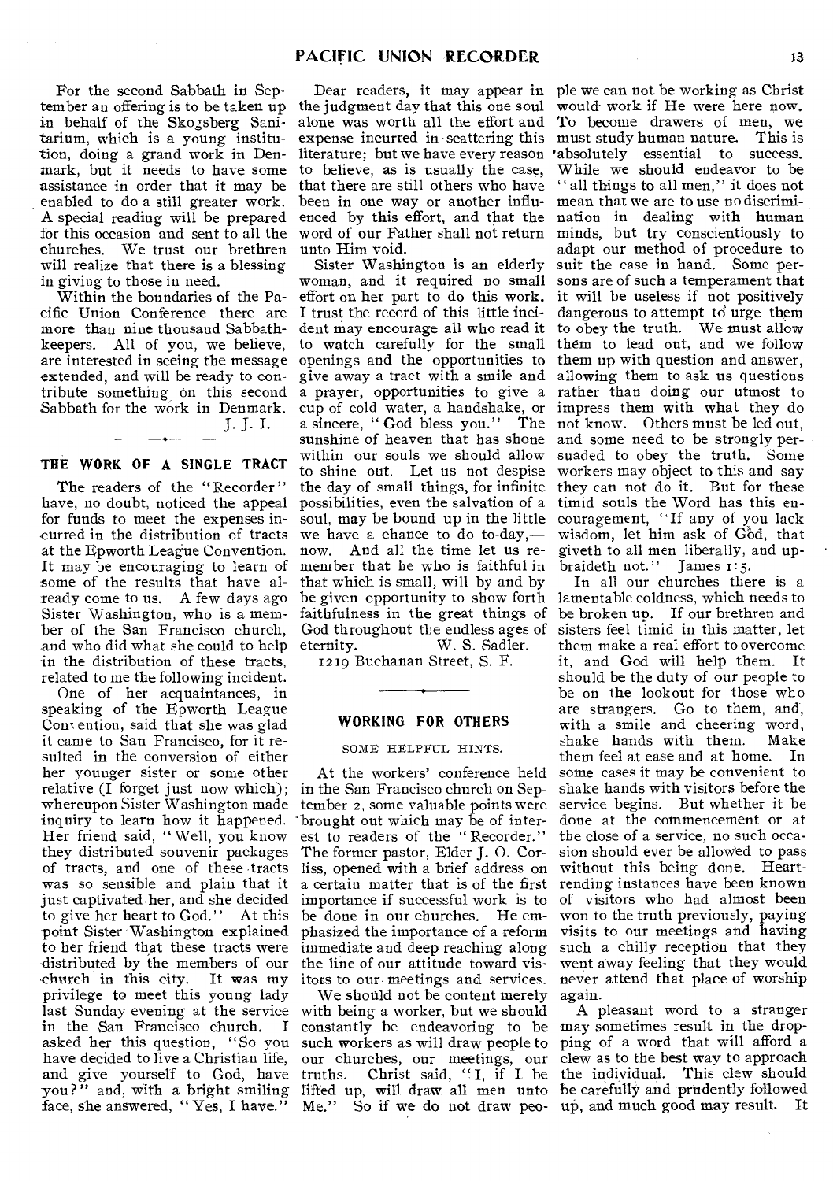For the second Sabbath in September an offering is to be taken up in behalf of the Skogsberg Sanitarium, which is a young institution, doing a grand work in Denmark, but it needs to have some assistance in order that it may be enabled to do a still greater work. A special reading will be prepared for this occasion and sent to all the churches. We trust our brethren will realize that there is a blessing in giving to those in need.

Within the boundaries of the Pacific Union Conference there are more than nine thousand Sabbathkeepers. All of you, we believe, are interested in seeing the message extended, and will be ready to contribute something on this second Sabbath for the work in Denmark.

J. J. I.

## THE WORK OF A SINGLE TRACT

The readers of the "Recorder" have, no doubt, noticed the appeal for funds to meet the expenses incurred in the distribution of tracts at the Epworth League Convention. It may be encouraging to learn of some of the results that have already come to us. A few days ago Sister Washington, who is a member of the San Francisco church, and who did what she could to help in the distribution of these tracts, related to me the following incident.

One of her acquaintances, in speaking of the Epworth League Convention, said that she was glad it came to San Francisco, for it resulted in the conversion of either her younger sister or some other relative (I forget just now which); whereupon Sister Washington made tember 2, some valuable points were inquiry to learn how it happened. Her friend said, " Well, you know they distributed souvenir packages of tracts, and one of these tracts was so sensible and plain that it just captivated her, and she decided to give her heart to God." At this -point Sister Washington explained to her friend that these tracts were distributed by the members of our church in this city. It was my privilege to meet this young lady last Sunday evening at the service in the San Francisco church. I asked her this question, "So you have decided to live a Christian life, and give yourself to God, have truths. you?" and, with a bright smiling lifted up, will draw all men unto be carefully and prudently followed face, she answered, "Yes, I have."

Dear readers, it may appear in the judgment day that this one soul alone was worth all the effort and expense incurred in scattering this literature; but we have every reason to believe, as is usually the case, that there are still others who have been in one way or another influenced by this effort, and that the word of our Father shall not return unto Him void.

Sister Washington is an elderly woman, and it required no small effort on her part to do this work. I trust the record of this little incident may encourage all who read it to watch carefully for the small openings and the opportunities to give away a tract with a smile and a prayer, opportunities to give a cup of cold water, a handshake, or a sincere, " God bless you." The sunshine of heaven that has shone within our souls we should allow to shine out. Let us not despise the day of small things, for infinite possibilities, even the salvation of a soul, may be bound up in the little we have a chance to do to-day, now. And all the time let us remember that he who is faithful in that which is small, will by and by be given opportunity to show forth faithfulness in the great things of God throughout the endless ages of eternity. W. S. Sadler.

1219 Buchanan Street, S. F.

# **WORKING FOR OTHERS**

## SOME HELPFUL HINTS.

At the workers' conference held in the San Francisco church on Sep-'brought out which may be of interest to readers of the " Recorder." The former pastor, Elder J. 0. Corliss, opened with a brief address on importance if successful work is to be done in our churches. He emphasized the importance of a reform immediate and deep reaching along the line of our attitude toward vis-

We should not be content merely with being a worker, but we should constantly be endeavoring to be may sometimes result in the dropsuch workers as will draw people to our churches, our meetings, our Me." So if we do not draw peo-up, and much good may result. It

ple we can not be working as Christ would work if He were here now. To become drawers of men, we must study human nature. This is •absolutely essential to success. While we should endeavor to be " all things to all men," it does not mean that we are to use no discrimination in dealing with human minds, but try conscientiously to adapt our method of procedure to suit the case in hand. Some persons are of such a temperament that it will be useless if not positively dangerous to attempt to urge them to obey the truth. We must allow them to lead out, and we follow them up with question and answer, allowing them to ask us questions rather than doing our utmost to impress them with what they do not know. Others must be led out, and some need to be strongly persuaded to obey the truth. Some workers may object to this and say they can not do it. But for these timid souls the Word has this encouragement, "If any of you lack wisdom, let him ask of God, that giveth to all men liberally, and upbraideth not." James 1:5.

a certain matter that is of the first rending instances have been known itors to our- meetings and services. never attend that place of worship In all our churches there is a lamentable coldness, which needs to be broken up. If our brethren and sisters feel timid in this matter, let them make a real effort to overcome it, and God will help them. It should be the duty of our people to be on the lookout for those who are strangers. Go to them, and, with a smile and cheering word,<br>shake hands with them. Make shake hands with them. them feel at ease and at home. In some cases it may be convenient to shake hands with visitors before the service begins. But whether it be done at the commencement or at the close of a service, no such occasion should ever be allowed to pass without this being done. Heartof visitors who had almost been won to the truth previously, paying visits to our meetings and having such a chilly reception that they went away feeling that they would again.

truths. Christ said, "I, if I be the individual. This clew should A pleasant word to a stranger ping of a word that will afford a clew as to the best way to approach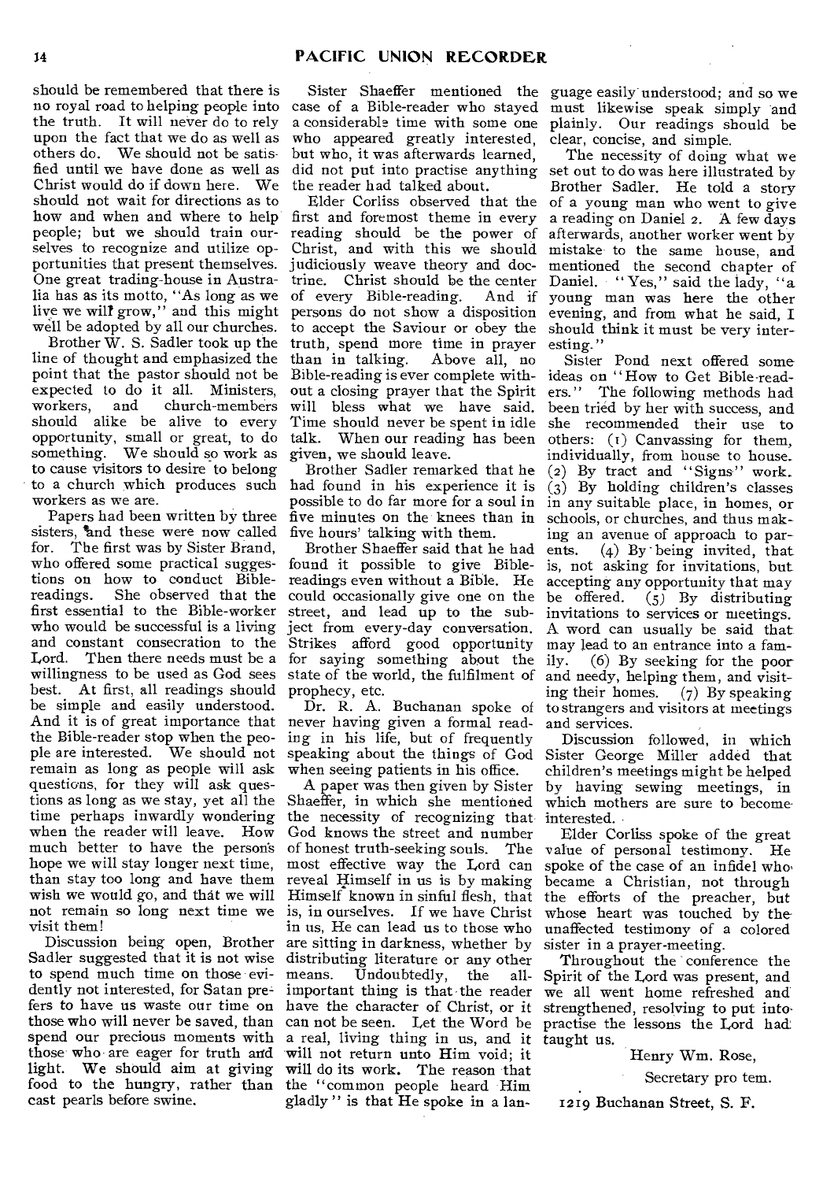should be remembered that there is no royal road to helping people into the truth. It will never do to rely upon the fact that we do as well as others do. We should not be satisfied until we have done as well as Christ would do if down here. We should not wait for directions as to how and when and where to help people; but we should train ourselves to recognize and utilize opportunities that present themselves. One great trading-house in Australia has as its motto, "As long as we live we will grow," and this might well be adopted by all our churches.

Brother W. S. Sadler took up the line of thought and emphasized the point that the pastor should not be expected to do it all. Ministers, workers, and should alike be alive to every opportunity, small or great, to do something. We should so work as to cause visitors to desire to belong to a church which produces such workers as we are.

Papers had been written by three sisters, 'and these were now called for. The first was by Sister Brand, who offered some practical suggestions on how to conduct Bible-She observed that the first essential to the Bible-worker who would be successful is a living and constant consecration to the Lord. Then there needs must be a willingness to be used as God sees best. At first, all readings should be simple and easily understood. And it is of great importance that the Bible-reader stop when the people are interested. We should not remain as long as people will ask questions, for they will ask questions as long as we stay, yet all the time perhaps inwardly wondering when the reader will leave. How much better to have the person's hope we will stay longer next time, than stay too long and have them wish we would go, and that we will not remain so long next time we visit them!

Discussion being open, Brother Sadler suggested that it is not wise to spend much time on those evidently not interested, for Satan prefers to have *us* waste our time on have the character of Christ, or it those who will never be saved, than spend our precious moments with those-who are eager for truth and light. We should aim at giving food to the hungry, rather than cast pearls before swine.

Sister Shaeffer mentioned the guage easily understood; and so we who appeared greatly interested, but who, it was afterwards learned, the reader had talked about.

Elder Corliss observed that the first and foremost theme in every reading should be the power of afterwards, another worker went by Christ, and with this we should mistake to the same house, and judiciously weave theory and doctrine. Christ should be the center of every Bible-reading. And if young man was here the other persons do not show a disposition to accept the Saviour or obey the truth, spend more time in prayer than in talking. Above all, no Bible-reading is ever complete without a closing prayer that the Spirit will bless what we have said. Time should never be spent in idle talk. When our reading has been given, we should leave.

Brother Sadler remarked that he had found in his experience it is possible to do far more for a soul in five minutes on the knees than in five hours' talking with them.

Brother Shaeffer said that he had found it possible to give Biblereadings even without a Bible. He could occasionally give one on the street, and lead up to the subject from every-day conversation. Strikes afford good opportunity for saying something about the state of the world, the fulfilment of prophecy, etc.

Dr. R. A. Buchanan spoke of never having given a formal reading in his life, but of frequently speaking about the things of God when seeing patients in his office.

A paper was then given by Sister Shaeffer, in which she mentioned the necessity of recognizing that God knows the street and number of honest truth-seeking souls. The most effective way the Lord can reveal Himself in us is by making Himself known in sinful flesh, that is, in ourselves. If we have Christ in us, He can lead us to those who are sitting in darkness, whether by distributing literature or any other means. Undoubtedly, the allimportant thing is that the reader can not be seen. Let the Word be a real, living thing in us, and it will not return unto Him void; it will do its work. The reason that the "common people heard Him gladly " is that He spoke in a Ian-

case of a Bible-reader who stayed must likewise speak simply and a considerable time with some one plainly. Our readings should be clear, concise, and simple.

did not put into practise anything set out to do was here illustrated by The necessity of doing what we Brother Sadler. He told a story of a young man who went to give a reading on Daniel 2. A few days mentioned the second chapter of Daniel. " Yes," said the lady, "a evening, and from what he said, I should think it must be very interesting."

Sister Pond next offered some ideas on "How to Get Bible-readers." The following methods had been tried by her with success, and she recommended their use to others: (t) Canvassing for them, individually, from house to house. (2) By tract and "Signs" work. (3) By holding children's classes in any suitable place, in homes, or schools, or churches, and thus making an avenue of approach to parents. (4) By being invited, that is, not asking for invitations, but accepting any opportunity that may be offered. (5) By distributing invitations to services or meetings. A word can usually be said that may lead to an entrance into a fam-<br>ily. (6) By seeking for the poor  $(6)$  By seeking for the poor and needy, helping them, and visiting their homes. (7) By speaking to strangers and visitors at meetings and services.

Discussion followed, in which Sister George Miller added that children's meetings might be helped by having sewing meetings, in which mothers are sure to becomeinterested.

Elder Corliss spoke of the great value of personal testimony. He spoke of the case of an infidel who, became a Christian, not through the efforts of the preacher, but whose heart was touched by theunaffected testimony of a colored sister in a prayer-meeting.

Throughout the conference the Spirit of the Lord was present, and we all went home refreshed and strengthened, resolving to put intopractise the lessons the Lord had taught us.

Henry Wm. Rose,

Secretary pro tem.

1219 Buchanan Street, S. F.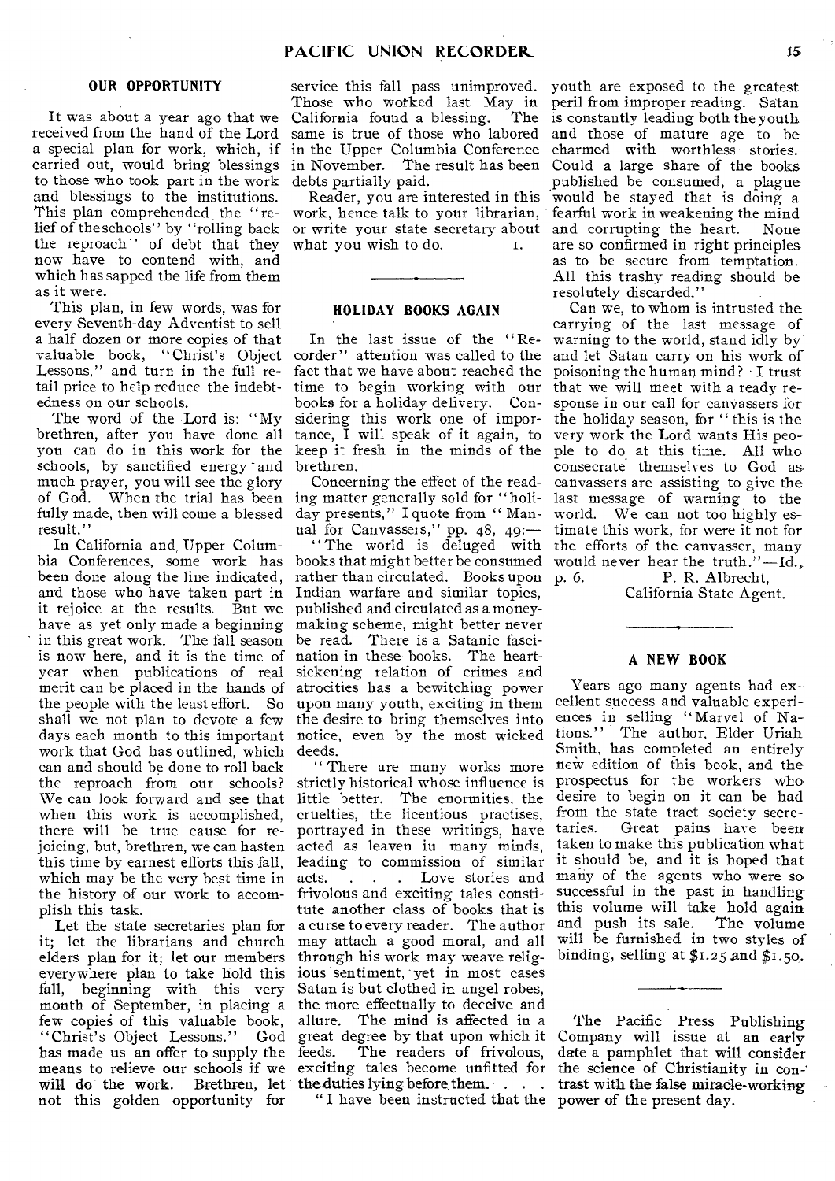# **OUR OPPORTUNITY**

It was about a year ago that we received from the hand of the Lord a special plan for work, which, if carried out, would bring blessings to those who took part in the work and blessings to the institutions. This plan comprehended the "relief of the schools" by "rolling back the reproach" of debt that they now have to contend with, and which has sapped the life from them as it were.

This plan, in few words, was for every Seventh-day Adventist to sell a half dozen or more copies of that valuable book, "Christ's Object Lessons," and turn in the full retail price to help reduce the indebtedness on our schools.

The word of the Lord is: "My brethren, after you have done all you can do in this work for the schools, by sanctified energy and much prayer, you will see the glory of God. When the trial has been fully made, then will come a blessed day presents," I quote from "Manresult."

In California and, Upper Columbeen done along the line indicated, and those who have taken part in Indian warfare and similar topics, it rejoice at the results. But we published and circulated as a moneyhave as yet only made a beginning making scheme, might better never in this great work. The fall season is now here, and it is the time of nation in these books. The heartyear when publications of real merit can be placed in the hands of the people with the least effort. So upon many youth, exciting in them shall we not plan to devote a few the desire to bring themselves into days each month to this important notice, even by the most wicked work that God has outlined, which deeds. can and should be done to roll back the reproach from our schools? We can look forward and see that little better. The enormities, the when this work is accomplished, there will be true cause for rejoicing, but, brethren, we can hasten this time by earnest efforts this fall, which may be the very best time in the history of our work to accomplish this task.

Let the state secretaries plan for it; let the librarians and church elders plan for it; let our members everywhere plan to take hold this fall, beginning with this very few copies of this valuable book, "Christ's Object Lessons." will do the work. Brethren, let the duties lying before them. . . . not this golden opportunity for

service this fall pass unimproved. Those who worked last May in California found a blessing. The same is true of those who labored in the Upper Columbia Conference debts partially paid.

Reader, you are interested in this work, hence talk to your librarian, or write your state secretary about what you wish to do. T.

# **HOLIDAY BOOKS AGAIN**

In the last issue of the "Recorder" attention was called to the fact that we have about reached the time to begin working with our books for a holiday delivery. Considering this work one of importance, I will speak of it again, to keep it fresh in the minds of the brethren.

Concerning the effect of the reading matter generally sold for " holiual for Canvassers," pp. 48, 49:—

" The world is deluged with rather than circulated. Books upon p. 6. be read. There is a Satanic fascisickening relation of crimes and atrocities has a bewitching power

month of September, in placing a the more effectually to deceive and has made us an offer to supply the feeds. The readers of frivolous, means to relieve our schools if we exciting tales become unfitted for " There are many works more strictly historical whose influence is cruelties, the licentious practises, portrayed in these writings, have acted as leaven in many minds, leading to commission of similar acts.<br>
. . . Love stories and . . . Love stories and frivolous and exciting tales constitute another class of books that is a curse to every reader. The author may attach a good moral, and all through his work may weave religious sentiment, yet in most cases Satan is but clothed in angel robes, allure. The mind is affected in a God great degree by that upon which it

" I have been instructed that the power of the present day.

in November. The result has been Could a large share of the books youth are exposed to the greatest peril from improper reading. Satan is constantly leading both the youth and those of mature age to be charmed with worthless stories. published be consumed, a plague would be stayed that is doing a fearful work in weakening the mind and corrupting the heart. are so confirmed in right principles as to be secure from temptation. All this trashy reading should be resolutely discarded."

bia Conferences, some work has books that might better be consumed would never hear the truth."-Id., Can we, to whom is intrusted the carrying of the last message of warning to the world, stand idly by and let Satan carry on his work of poisoning the human mind ? I trust that we will meet with a ready response in our call for canvassers for the holiday season, for " this is the very work the Lord wants His people to do at this time. All who consecrate themselves to God as canvassers are assisting to give the last message of warning to the world. We can not too highly estimate this work, for were it not for the efforts of the canvasser, many P. R. Albrecht,

California State Agent.

# **A NEW BOOK**

Years ago many agents had excellent success and valuable experiences in selling " Marvel of Nations." The author, Elder Uriah Smith, has completed an entirely new edition of this book, and the prospectus for the workers who desire to begin on it can be had from the state tract society secre-<br>taries. Great pains have been Great pains have been taken to make this publication what it should be, and it is hoped that many of the agents who were so successful in the past in handling this volume will take hold again and push its sale. The volume will be furnished in two styles of binding, selling at  $$1.25$  and  $$1.50$ .

The Pacific Press Publishing Company will issue at an early date a pamphlet that will consider the science of Christianity in contrast with the false miracle-working